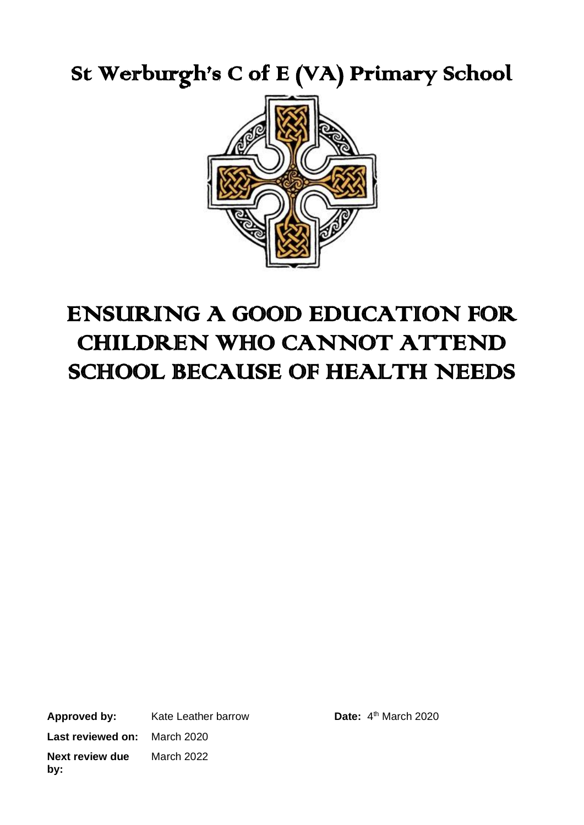St Werburgh's C of E (VA) Primary School



# ENSURING A GOOD EDUCATION FOR CHILDREN WHO CANNOT ATTEND SCHOOL BECAUSE OF HEALTH NEEDS

**Approved by:** Kate Leather barrow **Last reviewed on:** March 2020 **Next review due by:** March 2022

Date:  $4<sup>th</sup>$  March 2020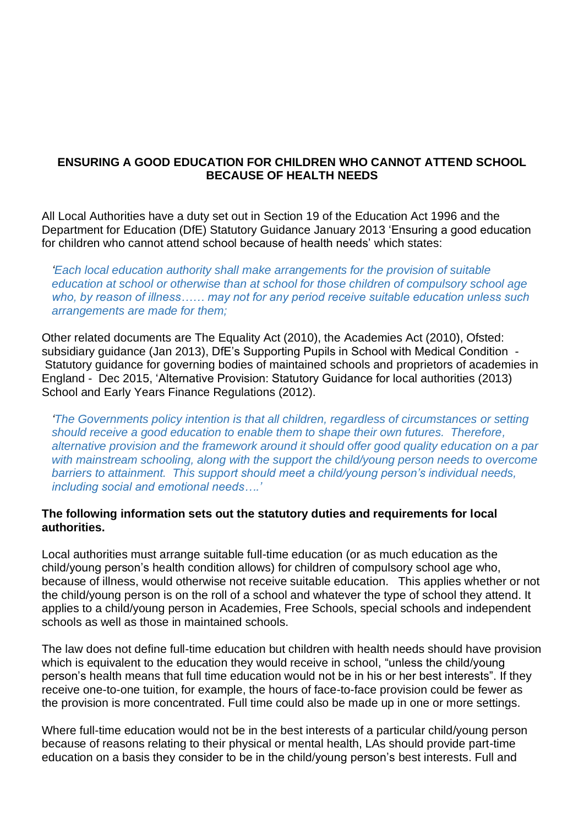### **ENSURING A GOOD EDUCATION FOR CHILDREN WHO CANNOT ATTEND SCHOOL BECAUSE OF HEALTH NEEDS**

All Local Authorities have a duty set out in Section 19 of the Education Act 1996 and the Department for Education (DfE) Statutory Guidance January 2013 'Ensuring a good education for children who cannot attend school because of health needs' which states:

*'Each local education authority shall make arrangements for the provision of suitable education at school or otherwise than at school for those children of compulsory school age who, by reason of illness…… may not for any period receive suitable education unless such arrangements are made for them;*

Other related documents are The Equality Act (2010), the Academies Act (2010), Ofsted: subsidiary guidance (Jan 2013), DfE's Supporting Pupils in School with Medical Condition - Statutory guidance for governing bodies of maintained schools and proprietors of academies in England - Dec 2015, 'Alternative Provision: Statutory Guidance for local authorities (2013) School and Early Years Finance Regulations (2012).

*'The Governments policy intention is that all children, regardless of circumstances or setting should receive a good education to enable them to shape their own futures. Therefore, alternative provision and the framework around it should offer good quality education on a par with mainstream schooling, along with the support the child/young person needs to overcome barriers to attainment. This support should meet a child/young person's individual needs, including social and emotional needs….'*

#### **The following information sets out the statutory duties and requirements for local authorities.**

Local authorities must arrange suitable full-time education (or as much education as the child/young person's health condition allows) for children of compulsory school age who, because of illness, would otherwise not receive suitable education. This applies whether or not the child/young person is on the roll of a school and whatever the type of school they attend. It applies to a child/young person in Academies, Free Schools, special schools and independent schools as well as those in maintained schools.

The law does not define full-time education but children with health needs should have provision which is equivalent to the education they would receive in school, "unless the child/young person's health means that full time education would not be in his or her best interests". If they receive one-to-one tuition, for example, the hours of face-to-face provision could be fewer as the provision is more concentrated. Full time could also be made up in one or more settings.

Where full-time education would not be in the best interests of a particular child/young person because of reasons relating to their physical or mental health, LAs should provide part-time education on a basis they consider to be in the child/young person's best interests. Full and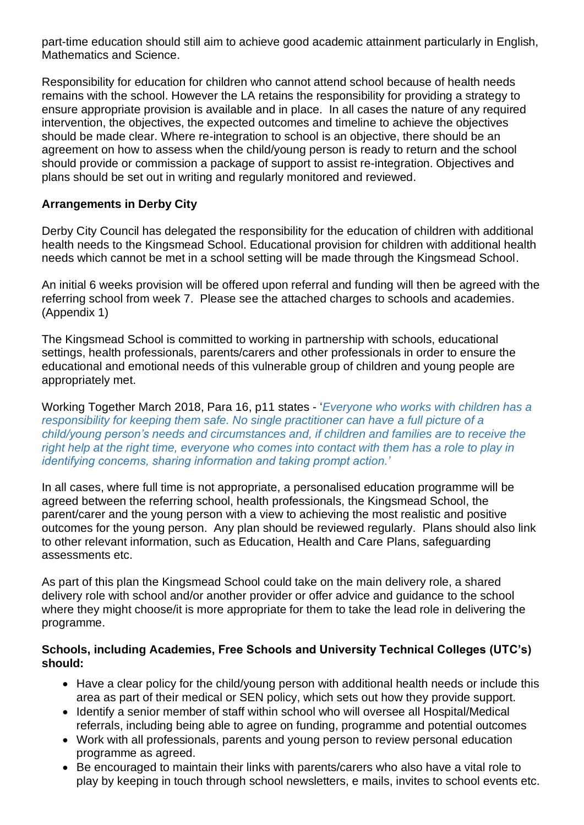part-time education should still aim to achieve good academic attainment particularly in English, Mathematics and Science.

Responsibility for education for children who cannot attend school because of health needs remains with the school. However the LA retains the responsibility for providing a strategy to ensure appropriate provision is available and in place. In all cases the nature of any required intervention, the objectives, the expected outcomes and timeline to achieve the objectives should be made clear. Where re-integration to school is an objective, there should be an agreement on how to assess when the child/young person is ready to return and the school should provide or commission a package of support to assist re-integration. Objectives and plans should be set out in writing and regularly monitored and reviewed.

### **Arrangements in Derby City**

Derby City Council has delegated the responsibility for the education of children with additional health needs to the Kingsmead School. Educational provision for children with additional health needs which cannot be met in a school setting will be made through the Kingsmead School.

An initial 6 weeks provision will be offered upon referral and funding will then be agreed with the referring school from week 7. Please see the attached charges to schools and academies. (Appendix 1)

The Kingsmead School is committed to working in partnership with schools, educational settings, health professionals, parents/carers and other professionals in order to ensure the educational and emotional needs of this vulnerable group of children and young people are appropriately met.

Working Together March 2018, Para 16, p11 states - '*Everyone who works with children has a responsibility for keeping them safe. No single practitioner can have a full picture of a child/young person's needs and circumstances and, if children and families are to receive the right help at the right time, everyone who comes into contact with them has a role to play in identifying concerns, sharing information and taking prompt action.'*

In all cases, where full time is not appropriate, a personalised education programme will be agreed between the referring school, health professionals, the Kingsmead School, the parent/carer and the young person with a view to achieving the most realistic and positive outcomes for the young person. Any plan should be reviewed regularly. Plans should also link to other relevant information, such as Education, Health and Care Plans, safeguarding assessments etc.

As part of this plan the Kingsmead School could take on the main delivery role, a shared delivery role with school and/or another provider or offer advice and guidance to the school where they might choose/it is more appropriate for them to take the lead role in delivering the programme.

#### **Schools, including Academies, Free Schools and University Technical Colleges (UTC's) should:**

- Have a clear policy for the child/young person with additional health needs or include this area as part of their medical or SEN policy, which sets out how they provide support.
- Identify a senior member of staff within school who will oversee all Hospital/Medical referrals, including being able to agree on funding, programme and potential outcomes
- Work with all professionals, parents and young person to review personal education programme as agreed.
- Be encouraged to maintain their links with parents/carers who also have a vital role to play by keeping in touch through school newsletters, e mails, invites to school events etc.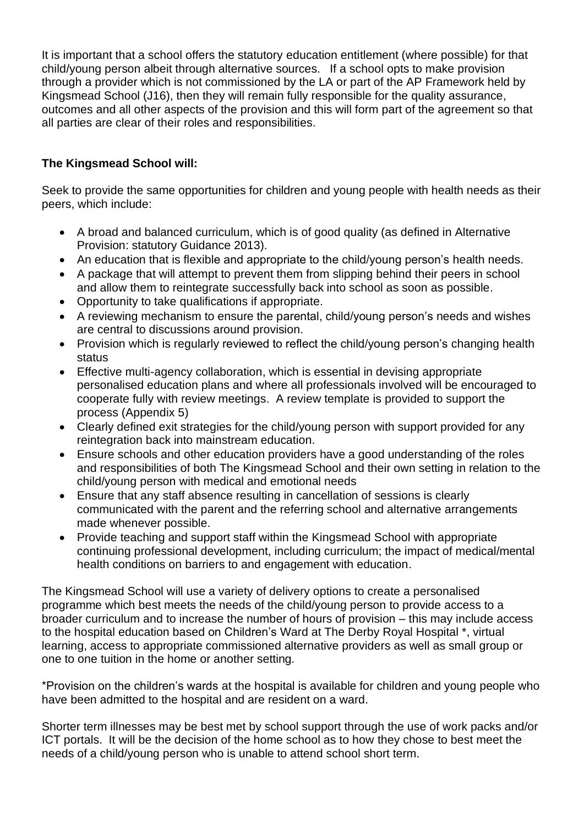It is important that a school offers the statutory education entitlement (where possible) for that child/young person albeit through alternative sources. If a school opts to make provision through a provider which is not commissioned by the LA or part of the AP Framework held by Kingsmead School (J16), then they will remain fully responsible for the quality assurance, outcomes and all other aspects of the provision and this will form part of the agreement so that all parties are clear of their roles and responsibilities.

### **The Kingsmead School will:**

Seek to provide the same opportunities for children and young people with health needs as their peers, which include:

- A broad and balanced curriculum, which is of good quality (as defined in Alternative Provision: statutory Guidance 2013).
- An education that is flexible and appropriate to the child/young person's health needs.
- A package that will attempt to prevent them from slipping behind their peers in school and allow them to reintegrate successfully back into school as soon as possible.
- Opportunity to take qualifications if appropriate.
- A reviewing mechanism to ensure the parental, child/young person's needs and wishes are central to discussions around provision.
- Provision which is regularly reviewed to reflect the child/young person's changing health status
- Effective multi-agency collaboration, which is essential in devising appropriate personalised education plans and where all professionals involved will be encouraged to cooperate fully with review meetings. A review template is provided to support the process (Appendix 5)
- Clearly defined exit strategies for the child/young person with support provided for any reintegration back into mainstream education.
- Ensure schools and other education providers have a good understanding of the roles and responsibilities of both The Kingsmead School and their own setting in relation to the child/young person with medical and emotional needs
- Ensure that any staff absence resulting in cancellation of sessions is clearly communicated with the parent and the referring school and alternative arrangements made whenever possible.
- Provide teaching and support staff within the Kingsmead School with appropriate continuing professional development, including curriculum; the impact of medical/mental health conditions on barriers to and engagement with education.

The Kingsmead School will use a variety of delivery options to create a personalised programme which best meets the needs of the child/young person to provide access to a broader curriculum and to increase the number of hours of provision – this may include access to the hospital education based on Children's Ward at The Derby Royal Hospital \*, virtual learning, access to appropriate commissioned alternative providers as well as small group or one to one tuition in the home or another setting.

\*Provision on the children's wards at the hospital is available for children and young people who have been admitted to the hospital and are resident on a ward.

Shorter term illnesses may be best met by school support through the use of work packs and/or ICT portals. It will be the decision of the home school as to how they chose to best meet the needs of a child/young person who is unable to attend school short term.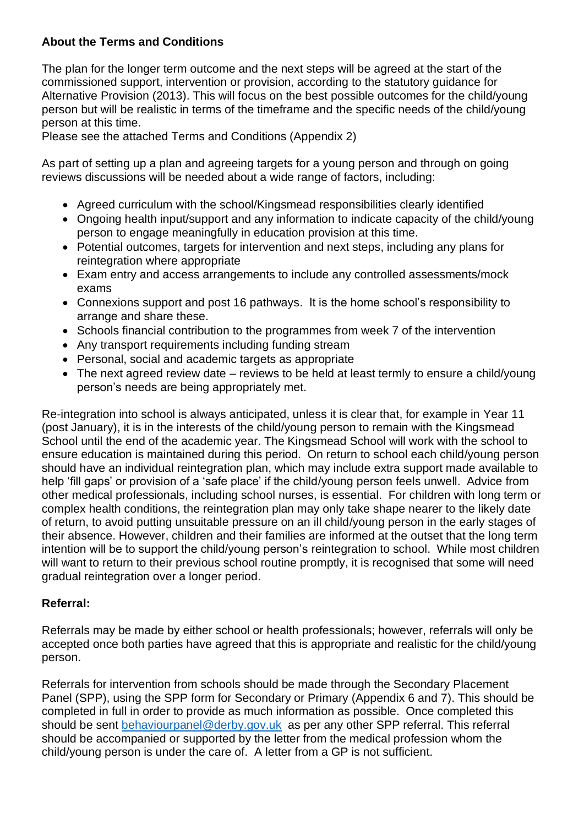### **About the Terms and Conditions**

The plan for the longer term outcome and the next steps will be agreed at the start of the commissioned support, intervention or provision, according to the statutory guidance for Alternative Provision (2013). This will focus on the best possible outcomes for the child/young person but will be realistic in terms of the timeframe and the specific needs of the child/young person at this time.

Please see the attached Terms and Conditions (Appendix 2)

As part of setting up a plan and agreeing targets for a young person and through on going reviews discussions will be needed about a wide range of factors, including:

- Agreed curriculum with the school/Kingsmead responsibilities clearly identified
- Ongoing health input/support and any information to indicate capacity of the child/young person to engage meaningfully in education provision at this time.
- Potential outcomes, targets for intervention and next steps, including any plans for reintegration where appropriate
- Exam entry and access arrangements to include any controlled assessments/mock exams
- Connexions support and post 16 pathways. It is the home school's responsibility to arrange and share these.
- Schools financial contribution to the programmes from week 7 of the intervention
- Any transport requirements including funding stream
- Personal, social and academic targets as appropriate
- The next agreed review date reviews to be held at least termly to ensure a child/young person's needs are being appropriately met.

Re-integration into school is always anticipated, unless it is clear that, for example in Year 11 (post January), it is in the interests of the child/young person to remain with the Kingsmead School until the end of the academic year. The Kingsmead School will work with the school to ensure education is maintained during this period. On return to school each child/young person should have an individual reintegration plan, which may include extra support made available to help 'fill gaps' or provision of a 'safe place' if the child/young person feels unwell. Advice from other medical professionals, including school nurses, is essential. For children with long term or complex health conditions, the reintegration plan may only take shape nearer to the likely date of return, to avoid putting unsuitable pressure on an ill child/young person in the early stages of their absence. However, children and their families are informed at the outset that the long term intention will be to support the child/young person's reintegration to school. While most children will want to return to their previous school routine promptly, it is recognised that some will need gradual reintegration over a longer period.

### **Referral:**

Referrals may be made by either school or health professionals; however, referrals will only be accepted once both parties have agreed that this is appropriate and realistic for the child/young person.

Referrals for intervention from schools should be made through the Secondary Placement Panel (SPP), using the SPP form for Secondary or Primary (Appendix 6 and 7). This should be completed in full in order to provide as much information as possible. Once completed this should be sent [behaviourpanel@derby.gov.uk](mailto:behaviourpanel@derby.gov.uk) as per any other SPP referral. This referral should be accompanied or supported by the letter from the medical profession whom the child/young person is under the care of. A letter from a GP is not sufficient.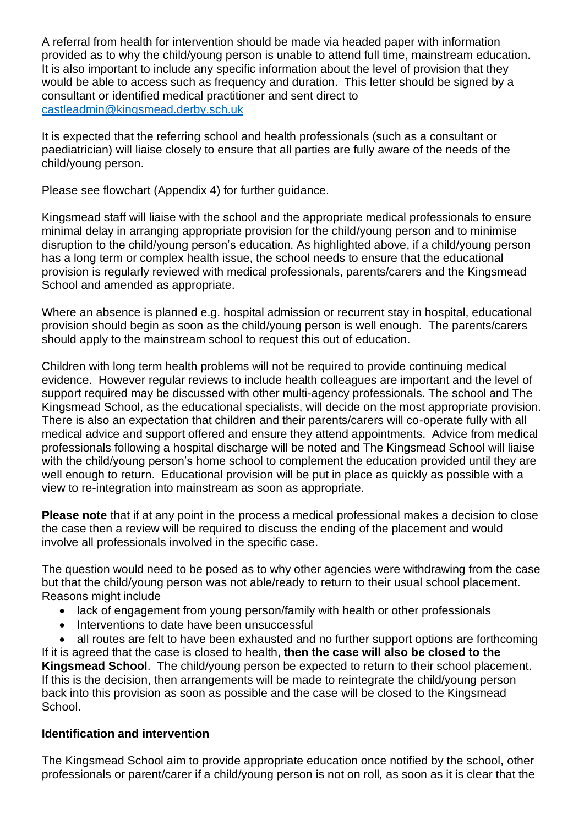A referral from health for intervention should be made via headed paper with information provided as to why the child/young person is unable to attend full time, mainstream education. It is also important to include any specific information about the level of provision that they would be able to access such as frequency and duration. This letter should be signed by a consultant or identified medical practitioner and sent direct to [castleadmin@kingsmead.derby.sch.uk](mailto:castleadmin@kingsmead.derby.sch.uk)

It is expected that the referring school and health professionals (such as a consultant or paediatrician) will liaise closely to ensure that all parties are fully aware of the needs of the child/young person.

Please see flowchart (Appendix 4) for further guidance.

Kingsmead staff will liaise with the school and the appropriate medical professionals to ensure minimal delay in arranging appropriate provision for the child/young person and to minimise disruption to the child/young person's education. As highlighted above, if a child/young person has a long term or complex health issue, the school needs to ensure that the educational provision is regularly reviewed with medical professionals, parents/carers and the Kingsmead School and amended as appropriate.

Where an absence is planned e.g. hospital admission or recurrent stay in hospital, educational provision should begin as soon as the child/young person is well enough. The parents/carers should apply to the mainstream school to request this out of education.

Children with long term health problems will not be required to provide continuing medical evidence. However regular reviews to include health colleagues are important and the level of support required may be discussed with other multi-agency professionals. The school and The Kingsmead School, as the educational specialists, will decide on the most appropriate provision. There is also an expectation that children and their parents/carers will co-operate fully with all medical advice and support offered and ensure they attend appointments. Advice from medical professionals following a hospital discharge will be noted and The Kingsmead School will liaise with the child/young person's home school to complement the education provided until they are well enough to return. Educational provision will be put in place as quickly as possible with a view to re-integration into mainstream as soon as appropriate.

**Please note** that if at any point in the process a medical professional makes a decision to close the case then a review will be required to discuss the ending of the placement and would involve all professionals involved in the specific case.

The question would need to be posed as to why other agencies were withdrawing from the case but that the child/young person was not able/ready to return to their usual school placement. Reasons might include

- lack of engagement from young person/family with health or other professionals
- Interventions to date have been unsuccessful
- all routes are felt to have been exhausted and no further support options are forthcoming

If it is agreed that the case is closed to health, **then the case will also be closed to the Kingsmead School**. The child/young person be expected to return to their school placement. If this is the decision, then arrangements will be made to reintegrate the child/young person back into this provision as soon as possible and the case will be closed to the Kingsmead School.

#### **Identification and intervention**

The Kingsmead School aim to provide appropriate education once notified by the school, other professionals or parent/carer if a child/young person is not on roll*,* as soon as it is clear that the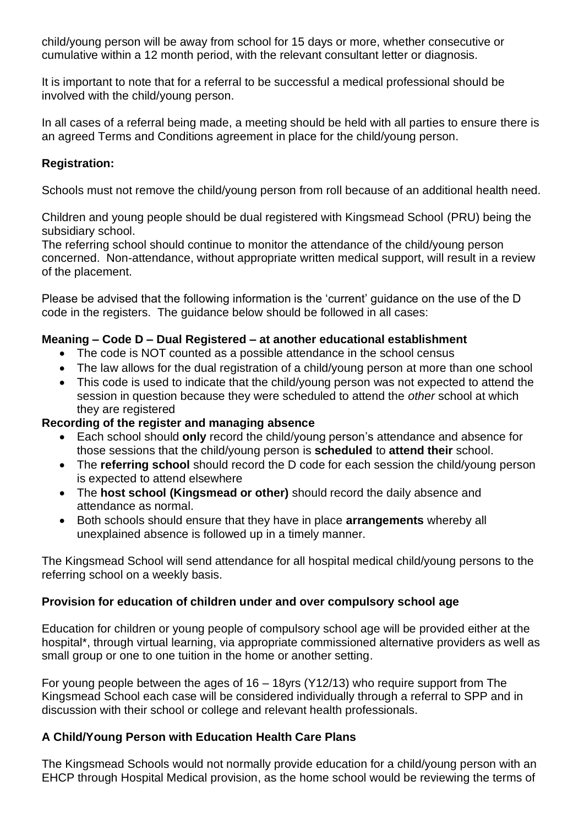child/young person will be away from school for 15 days or more, whether consecutive or cumulative within a 12 month period, with the relevant consultant letter or diagnosis.

It is important to note that for a referral to be successful a medical professional should be involved with the child/young person.

In all cases of a referral being made, a meeting should be held with all parties to ensure there is an agreed Terms and Conditions agreement in place for the child/young person.

### **Registration:**

Schools must not remove the child/young person from roll because of an additional health need.

Children and young people should be dual registered with Kingsmead School (PRU) being the subsidiary school.

The referring school should continue to monitor the attendance of the child/young person concerned. Non-attendance, without appropriate written medical support, will result in a review of the placement.

Please be advised that the following information is the 'current' guidance on the use of the D code in the registers. The guidance below should be followed in all cases:

### **Meaning – Code D – Dual Registered – at another educational establishment**

- The code is NOT counted as a possible attendance in the school census
- The law allows for the dual registration of a child/young person at more than one school
- This code is used to indicate that the child/young person was not expected to attend the session in question because they were scheduled to attend the *other* school at which they are registered

### **Recording of the register and managing absence**

- Each school should **only** record the child/young person's attendance and absence for those sessions that the child/young person is **scheduled** to **attend their** school.
- The **referring school** should record the D code for each session the child/young person is expected to attend elsewhere
- The **host school (Kingsmead or other)** should record the daily absence and attendance as normal.
- Both schools should ensure that they have in place **arrangements** whereby all unexplained absence is followed up in a timely manner.

The Kingsmead School will send attendance for all hospital medical child/young persons to the referring school on a weekly basis.

### **Provision for education of children under and over compulsory school age**

Education for children or young people of compulsory school age will be provided either at the hospital\*, through virtual learning, via appropriate commissioned alternative providers as well as small group or one to one tuition in the home or another setting.

For young people between the ages of 16 – 18yrs (Y12/13) who require support from The Kingsmead School each case will be considered individually through a referral to SPP and in discussion with their school or college and relevant health professionals.

### **A Child/Young Person with Education Health Care Plans**

The Kingsmead Schools would not normally provide education for a child/young person with an EHCP through Hospital Medical provision, as the home school would be reviewing the terms of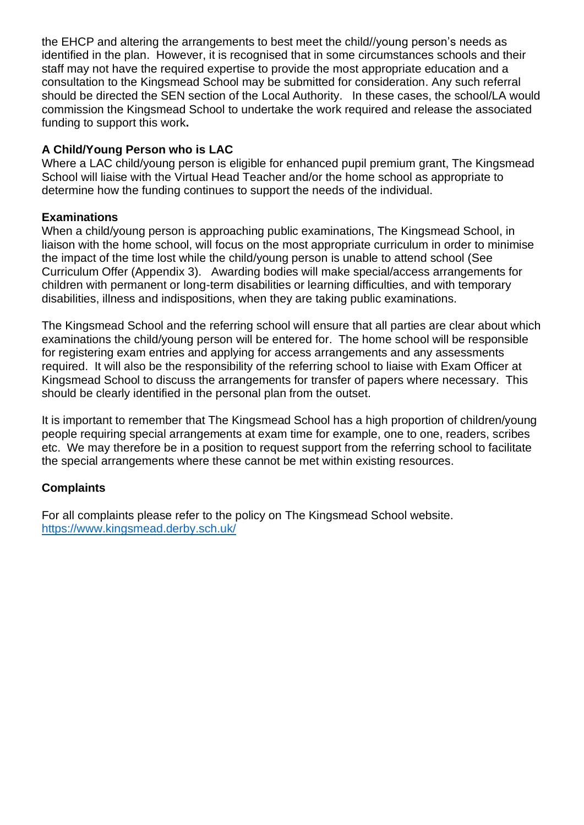the EHCP and altering the arrangements to best meet the child//young person's needs as identified in the plan. However, it is recognised that in some circumstances schools and their staff may not have the required expertise to provide the most appropriate education and a consultation to the Kingsmead School may be submitted for consideration. Any such referral should be directed the SEN section of the Local Authority. In these cases, the school/LA would commission the Kingsmead School to undertake the work required and release the associated funding to support this work**.** 

### **A Child/Young Person who is LAC**

Where a LAC child/young person is eligible for enhanced pupil premium grant, The Kingsmead School will liaise with the Virtual Head Teacher and/or the home school as appropriate to determine how the funding continues to support the needs of the individual.

### **Examinations**

When a child/young person is approaching public examinations, The Kingsmead School, in liaison with the home school, will focus on the most appropriate curriculum in order to minimise the impact of the time lost while the child/young person is unable to attend school (See Curriculum Offer (Appendix 3). Awarding bodies will make special/access arrangements for children with permanent or long-term disabilities or learning difficulties, and with temporary disabilities, illness and indispositions, when they are taking public examinations.

The Kingsmead School and the referring school will ensure that all parties are clear about which examinations the child/young person will be entered for. The home school will be responsible for registering exam entries and applying for access arrangements and any assessments required. It will also be the responsibility of the referring school to liaise with Exam Officer at Kingsmead School to discuss the arrangements for transfer of papers where necessary. This should be clearly identified in the personal plan from the outset.

It is important to remember that The Kingsmead School has a high proportion of children/young people requiring special arrangements at exam time for example, one to one, readers, scribes etc. We may therefore be in a position to request support from the referring school to facilitate the special arrangements where these cannot be met within existing resources.

### **Complaints**

For all complaints please refer to the policy on The Kingsmead School website. <https://www.kingsmead.derby.sch.uk/>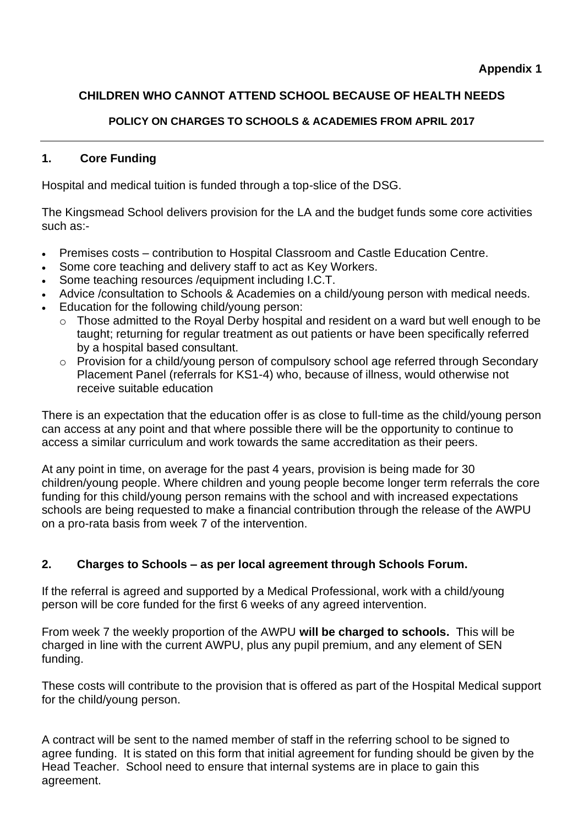### **CHILDREN WHO CANNOT ATTEND SCHOOL BECAUSE OF HEALTH NEEDS**

### **POLICY ON CHARGES TO SCHOOLS & ACADEMIES FROM APRIL 2017**

### **1. Core Funding**

Hospital and medical tuition is funded through a top-slice of the DSG.

The Kingsmead School delivers provision for the LA and the budget funds some core activities such as:-

- Premises costs contribution to Hospital Classroom and Castle Education Centre.
- Some core teaching and delivery staff to act as Key Workers.
- Some teaching resources /equipment including I.C.T.
- Advice /consultation to Schools & Academies on a child/young person with medical needs.
- Education for the following child/young person:
	- o Those admitted to the Royal Derby hospital and resident on a ward but well enough to be taught; returning for regular treatment as out patients or have been specifically referred by a hospital based consultant.
	- o Provision for a child/young person of compulsory school age referred through Secondary Placement Panel (referrals for KS1-4) who, because of illness, would otherwise not receive suitable education

There is an expectation that the education offer is as close to full-time as the child/young person can access at any point and that where possible there will be the opportunity to continue to access a similar curriculum and work towards the same accreditation as their peers.

At any point in time, on average for the past 4 years, provision is being made for 30 children/young people. Where children and young people become longer term referrals the core funding for this child/young person remains with the school and with increased expectations schools are being requested to make a financial contribution through the release of the AWPU on a pro-rata basis from week 7 of the intervention.

### **2. Charges to Schools – as per local agreement through Schools Forum.**

If the referral is agreed and supported by a Medical Professional, work with a child/young person will be core funded for the first 6 weeks of any agreed intervention.

From week 7 the weekly proportion of the AWPU **will be charged to schools.** This will be charged in line with the current AWPU, plus any pupil premium, and any element of SEN funding.

These costs will contribute to the provision that is offered as part of the Hospital Medical support for the child/young person.

A contract will be sent to the named member of staff in the referring school to be signed to agree funding. It is stated on this form that initial agreement for funding should be given by the Head Teacher. School need to ensure that internal systems are in place to gain this agreement.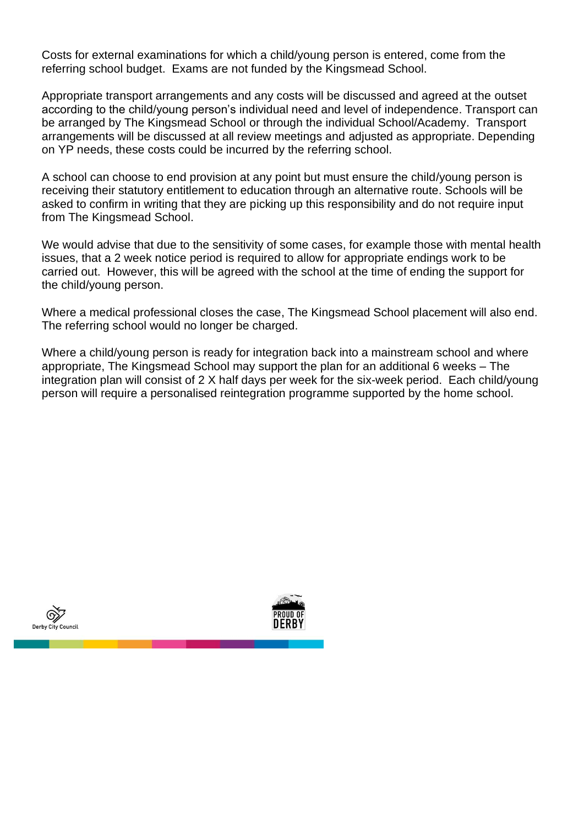Costs for external examinations for which a child/young person is entered, come from the referring school budget. Exams are not funded by the Kingsmead School.

Appropriate transport arrangements and any costs will be discussed and agreed at the outset according to the child/young person's individual need and level of independence. Transport can be arranged by The Kingsmead School or through the individual School/Academy. Transport arrangements will be discussed at all review meetings and adjusted as appropriate. Depending on YP needs, these costs could be incurred by the referring school.

A school can choose to end provision at any point but must ensure the child/young person is receiving their statutory entitlement to education through an alternative route. Schools will be asked to confirm in writing that they are picking up this responsibility and do not require input from The Kingsmead School.

We would advise that due to the sensitivity of some cases, for example those with mental health issues, that a 2 week notice period is required to allow for appropriate endings work to be carried out. However, this will be agreed with the school at the time of ending the support for the child/young person.

Where a medical professional closes the case, The Kingsmead School placement will also end. The referring school would no longer be charged.

Where a child/young person is ready for integration back into a mainstream school and where appropriate, The Kingsmead School may support the plan for an additional 6 weeks – The integration plan will consist of 2 X half days per week for the six-week period. Each child/young person will require a personalised reintegration programme supported by the home school.



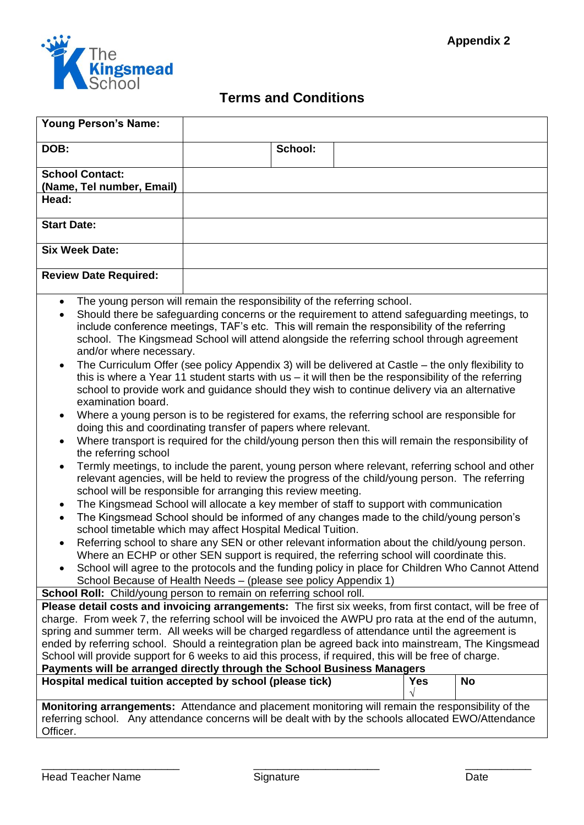

# **Terms and Conditions**

| <b>Young Person's Name:</b>                                                                                                                                                                                                                                                                                                                                                                                                                                                                              |                                                                                                                                                                                                                                                                                                                                                                                                                                                                                                                                                                                                                                                                                                                                                                                                                                                                                                                                                                                                                                                                                                                                                                                                                                                                                                                                                                                                                                                                                                                                                                                                                                                                                                                                                                                                                                                                 |         |            |           |
|----------------------------------------------------------------------------------------------------------------------------------------------------------------------------------------------------------------------------------------------------------------------------------------------------------------------------------------------------------------------------------------------------------------------------------------------------------------------------------------------------------|-----------------------------------------------------------------------------------------------------------------------------------------------------------------------------------------------------------------------------------------------------------------------------------------------------------------------------------------------------------------------------------------------------------------------------------------------------------------------------------------------------------------------------------------------------------------------------------------------------------------------------------------------------------------------------------------------------------------------------------------------------------------------------------------------------------------------------------------------------------------------------------------------------------------------------------------------------------------------------------------------------------------------------------------------------------------------------------------------------------------------------------------------------------------------------------------------------------------------------------------------------------------------------------------------------------------------------------------------------------------------------------------------------------------------------------------------------------------------------------------------------------------------------------------------------------------------------------------------------------------------------------------------------------------------------------------------------------------------------------------------------------------------------------------------------------------------------------------------------------------|---------|------------|-----------|
| DOB:                                                                                                                                                                                                                                                                                                                                                                                                                                                                                                     |                                                                                                                                                                                                                                                                                                                                                                                                                                                                                                                                                                                                                                                                                                                                                                                                                                                                                                                                                                                                                                                                                                                                                                                                                                                                                                                                                                                                                                                                                                                                                                                                                                                                                                                                                                                                                                                                 | School: |            |           |
| <b>School Contact:</b><br>(Name, Tel number, Email)                                                                                                                                                                                                                                                                                                                                                                                                                                                      |                                                                                                                                                                                                                                                                                                                                                                                                                                                                                                                                                                                                                                                                                                                                                                                                                                                                                                                                                                                                                                                                                                                                                                                                                                                                                                                                                                                                                                                                                                                                                                                                                                                                                                                                                                                                                                                                 |         |            |           |
| Head:                                                                                                                                                                                                                                                                                                                                                                                                                                                                                                    |                                                                                                                                                                                                                                                                                                                                                                                                                                                                                                                                                                                                                                                                                                                                                                                                                                                                                                                                                                                                                                                                                                                                                                                                                                                                                                                                                                                                                                                                                                                                                                                                                                                                                                                                                                                                                                                                 |         |            |           |
| <b>Start Date:</b>                                                                                                                                                                                                                                                                                                                                                                                                                                                                                       |                                                                                                                                                                                                                                                                                                                                                                                                                                                                                                                                                                                                                                                                                                                                                                                                                                                                                                                                                                                                                                                                                                                                                                                                                                                                                                                                                                                                                                                                                                                                                                                                                                                                                                                                                                                                                                                                 |         |            |           |
| <b>Six Week Date:</b>                                                                                                                                                                                                                                                                                                                                                                                                                                                                                    |                                                                                                                                                                                                                                                                                                                                                                                                                                                                                                                                                                                                                                                                                                                                                                                                                                                                                                                                                                                                                                                                                                                                                                                                                                                                                                                                                                                                                                                                                                                                                                                                                                                                                                                                                                                                                                                                 |         |            |           |
| <b>Review Date Required:</b>                                                                                                                                                                                                                                                                                                                                                                                                                                                                             |                                                                                                                                                                                                                                                                                                                                                                                                                                                                                                                                                                                                                                                                                                                                                                                                                                                                                                                                                                                                                                                                                                                                                                                                                                                                                                                                                                                                                                                                                                                                                                                                                                                                                                                                                                                                                                                                 |         |            |           |
| $\bullet$<br>$\bullet$<br>and/or where necessary.<br>$\bullet$<br>examination board.<br>٠<br>$\bullet$<br>the referring school<br>$\bullet$<br>$\bullet$<br>$\bullet$                                                                                                                                                                                                                                                                                                                                    | The young person will remain the responsibility of the referring school.<br>Should there be safeguarding concerns or the requirement to attend safeguarding meetings, to<br>include conference meetings, TAF's etc. This will remain the responsibility of the referring<br>school. The Kingsmead School will attend alongside the referring school through agreement<br>The Curriculum Offer (see policy Appendix 3) will be delivered at Castle – the only flexibility to<br>this is where a Year 11 student starts with $us - it$ will then be the responsibility of the referring<br>school to provide work and guidance should they wish to continue delivery via an alternative<br>Where a young person is to be registered for exams, the referring school are responsible for<br>doing this and coordinating transfer of papers where relevant.<br>Where transport is required for the child/young person then this will remain the responsibility of<br>Termly meetings, to include the parent, young person where relevant, referring school and other<br>relevant agencies, will be held to review the progress of the child/young person. The referring<br>school will be responsible for arranging this review meeting.<br>The Kingsmead School will allocate a key member of staff to support with communication<br>The Kingsmead School should be informed of any changes made to the child/young person's<br>school timetable which may affect Hospital Medical Tuition.<br>Referring school to share any SEN or other relevant information about the child/young person.<br>Where an ECHP or other SEN support is required, the referring school will coordinate this.<br>School will agree to the protocols and the funding policy in place for Children Who Cannot Attend<br>School Because of Health Needs - (please see policy Appendix 1) |         |            |           |
| School Roll: Child/young person to remain on referring school roll.<br>Please detail costs and invoicing arrangements: The first six weeks, from first contact, will be free of                                                                                                                                                                                                                                                                                                                          |                                                                                                                                                                                                                                                                                                                                                                                                                                                                                                                                                                                                                                                                                                                                                                                                                                                                                                                                                                                                                                                                                                                                                                                                                                                                                                                                                                                                                                                                                                                                                                                                                                                                                                                                                                                                                                                                 |         |            |           |
| charge. From week 7, the referring school will be invoiced the AWPU pro rata at the end of the autumn,<br>spring and summer term. All weeks will be charged regardless of attendance until the agreement is<br>ended by referring school. Should a reintegration plan be agreed back into mainstream, The Kingsmead<br>School will provide support for 6 weeks to aid this process, if required, this will be free of charge.<br>Payments will be arranged directly through the School Business Managers |                                                                                                                                                                                                                                                                                                                                                                                                                                                                                                                                                                                                                                                                                                                                                                                                                                                                                                                                                                                                                                                                                                                                                                                                                                                                                                                                                                                                                                                                                                                                                                                                                                                                                                                                                                                                                                                                 |         |            |           |
| Hospital medical tuition accepted by school (please tick)                                                                                                                                                                                                                                                                                                                                                                                                                                                |                                                                                                                                                                                                                                                                                                                                                                                                                                                                                                                                                                                                                                                                                                                                                                                                                                                                                                                                                                                                                                                                                                                                                                                                                                                                                                                                                                                                                                                                                                                                                                                                                                                                                                                                                                                                                                                                 |         | <b>Yes</b> | <b>No</b> |
| Monitoring arrangements: Attendance and placement monitoring will remain the responsibility of the<br>referring school. Any attendance concerns will be dealt with by the schools allocated EWO/Attendance<br>Officer.                                                                                                                                                                                                                                                                                   |                                                                                                                                                                                                                                                                                                                                                                                                                                                                                                                                                                                                                                                                                                                                                                                                                                                                                                                                                                                                                                                                                                                                                                                                                                                                                                                                                                                                                                                                                                                                                                                                                                                                                                                                                                                                                                                                 |         |            |           |

\_\_\_\_\_\_\_\_\_\_\_\_\_\_\_\_\_\_\_\_\_\_\_ \_\_\_\_\_\_\_\_\_\_\_\_\_\_\_\_\_\_\_\_\_ \_\_\_\_\_\_\_\_\_\_\_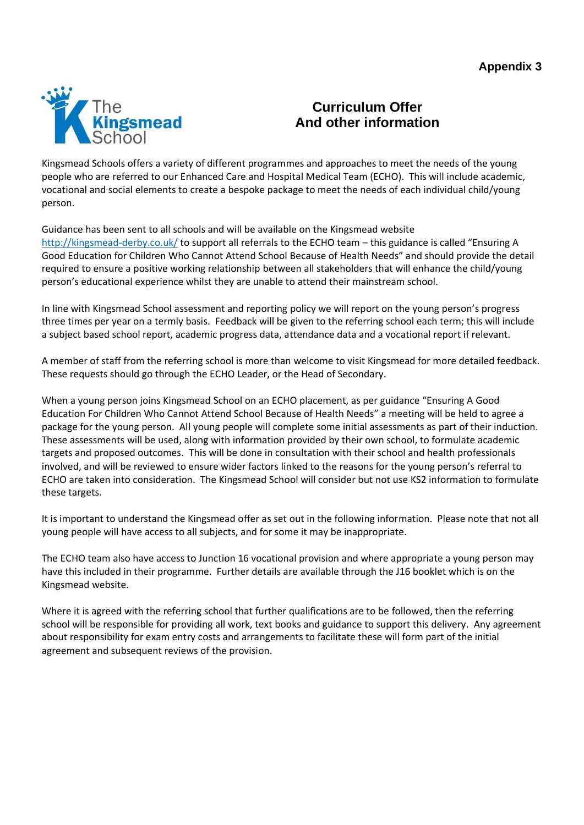

### **Curriculum Offer And other information**

Kingsmead Schools offers a variety of different programmes and approaches to meet the needs of the young people who are referred to our Enhanced Care and Hospital Medical Team (ECHO). This will include academic, vocational and social elements to create a bespoke package to meet the needs of each individual child/young person.

#### Guidance has been sent to all schools and will be available on the Kingsmead website

[http://kingsmead-derby.co.uk/](http://kingsmeadderby.co.uk/) to support all referrals to the ECHO team – this guidance is called "Ensuring A Good Education for Children Who Cannot Attend School Because of Health Needs" and should provide the detail required to ensure a positive working relationship between all stakeholders that will enhance the child/young person's educational experience whilst they are unable to attend their mainstream school.

In line with Kingsmead School assessment and reporting policy we will report on the young person's progress three times per year on a termly basis. Feedback will be given to the referring school each term; this will include a subject based school report, academic progress data, attendance data and a vocational report if relevant.

A member of staff from the referring school is more than welcome to visit Kingsmead for more detailed feedback. These requests should go through the ECHO Leader, or the Head of Secondary.

When a young person joins Kingsmead School on an ECHO placement, as per guidance "Ensuring A Good Education For Children Who Cannot Attend School Because of Health Needs" a meeting will be held to agree a package for the young person. All young people will complete some initial assessments as part of their induction. These assessments will be used, along with information provided by their own school, to formulate academic targets and proposed outcomes. This will be done in consultation with their school and health professionals involved, and will be reviewed to ensure wider factors linked to the reasons for the young person's referral to ECHO are taken into consideration. The Kingsmead School will consider but not use KS2 information to formulate these targets.

It is important to understand the Kingsmead offer as set out in the following information. Please note that not all young people will have access to all subjects, and for some it may be inappropriate.

The ECHO team also have access to Junction 16 vocational provision and where appropriate a young person may have this included in their programme. Further details are available through the J16 booklet which is on the Kingsmead website.

Where it is agreed with the referring school that further qualifications are to be followed, then the referring school will be responsible for providing all work, text books and guidance to support this delivery. Any agreement about responsibility for exam entry costs and arrangements to facilitate these will form part of the initial agreement and subsequent reviews of the provision.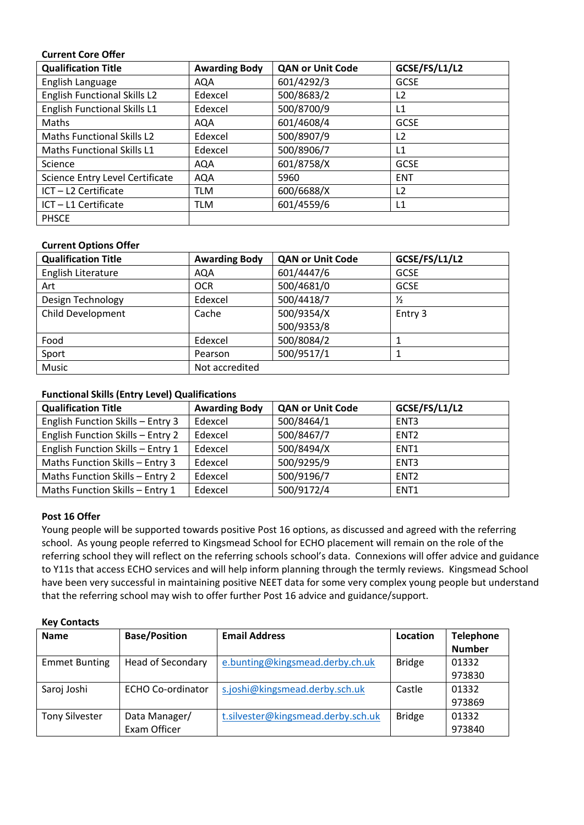#### **Current Core Offer**

| <b>Qualification Title</b>          | <b>Awarding Body</b> | <b>QAN or Unit Code</b> | GCSE/FS/L1/L2  |
|-------------------------------------|----------------------|-------------------------|----------------|
| English Language                    | AQA                  | 601/4292/3              | <b>GCSE</b>    |
| <b>English Functional Skills L2</b> | Edexcel              | 500/8683/2              | L2             |
| English Functional Skills L1        | Edexcel              | 500/8700/9              | L1             |
| Maths                               | AQA                  | 601/4608/4              | <b>GCSE</b>    |
| <b>Maths Functional Skills L2</b>   | Edexcel              | 500/8907/9              | L <sub>2</sub> |
| <b>Maths Functional Skills L1</b>   | Edexcel              | 500/8906/7              | L1             |
| Science                             | <b>AQA</b>           | 601/8758/X              | <b>GCSE</b>    |
| Science Entry Level Certificate     | <b>AQA</b>           | 5960                    | <b>ENT</b>     |
| ICT-L2 Certificate                  | TLM                  | 600/6688/X              | L2             |
| ICT-L1 Certificate                  | TLM                  | 601/4559/6              | L1             |
| <b>PHSCE</b>                        |                      |                         |                |

#### **Current Options Offer**

| <b>Qualification Title</b> | <b>Awarding Body</b> | <b>QAN or Unit Code</b> | GCSE/FS/L1/L2 |
|----------------------------|----------------------|-------------------------|---------------|
| English Literature         | AQA                  | 601/4447/6              | <b>GCSE</b>   |
| Art                        | <b>OCR</b>           | 500/4681/0              | <b>GCSE</b>   |
| Design Technology          | Edexcel              | 500/4418/7              | $\frac{1}{2}$ |
| <b>Child Development</b>   | Cache                | 500/9354/X              | Entry 3       |
|                            |                      | 500/9353/8              |               |
| Food                       | Edexcel              | 500/8084/2              |               |
| Sport                      | Pearson              | 500/9517/1              |               |
| Music                      | Not accredited       |                         |               |

#### **Functional Skills (Entry Level) Qualifications**

| <b>Qualification Title</b>        | <b>Awarding Body</b> | <b>QAN or Unit Code</b> | GCSE/FS/L1/L2    |
|-----------------------------------|----------------------|-------------------------|------------------|
| English Function Skills - Entry 3 | Edexcel              | 500/8464/1              | ENT <sub>3</sub> |
| English Function Skills - Entry 2 | Edexcel              | 500/8467/7              | ENT <sub>2</sub> |
| English Function Skills - Entry 1 | Edexcel              | 500/8494/X              | ENT <sub>1</sub> |
| Maths Function Skills - Entry 3   | Edexcel              | 500/9295/9              | ENT <sub>3</sub> |
| Maths Function Skills - Entry 2   | Edexcel              | 500/9196/7              | ENT <sub>2</sub> |
| Maths Function Skills - Entry 1   | Edexcel              | 500/9172/4              | ENT <sub>1</sub> |

#### **Post 16 Offer**

Young people will be supported towards positive Post 16 options, as discussed and agreed with the referring school. As young people referred to Kingsmead School for ECHO placement will remain on the role of the referring school they will reflect on the referring schools school's data. Connexions will offer advice and guidance to Y11s that access ECHO services and will help inform planning through the termly reviews. Kingsmead School have been very successful in maintaining positive NEET data for some very complex young people but understand that the referring school may wish to offer further Post 16 advice and guidance/support.

| <b>Key Contacts</b> |
|---------------------|
|                     |

| <b>Name</b>           | <b>Base/Position</b>     | <b>Email Address</b>               | Location      | <b>Telephone</b> |
|-----------------------|--------------------------|------------------------------------|---------------|------------------|
|                       |                          |                                    |               | <b>Number</b>    |
| <b>Emmet Bunting</b>  | <b>Head of Secondary</b> | e.bunting@kingsmead.derby.ch.uk    | <b>Bridge</b> | 01332            |
|                       |                          |                                    |               | 973830           |
| Saroj Joshi           | <b>ECHO Co-ordinator</b> | s.joshi@kingsmead.derby.sch.uk     | Castle        | 01332            |
|                       |                          |                                    |               | 973869           |
| <b>Tony Silvester</b> | Data Manager/            | t.silvester@kingsmead.derby.sch.uk | <b>Bridge</b> | 01332            |
|                       | Exam Officer             |                                    |               | 973840           |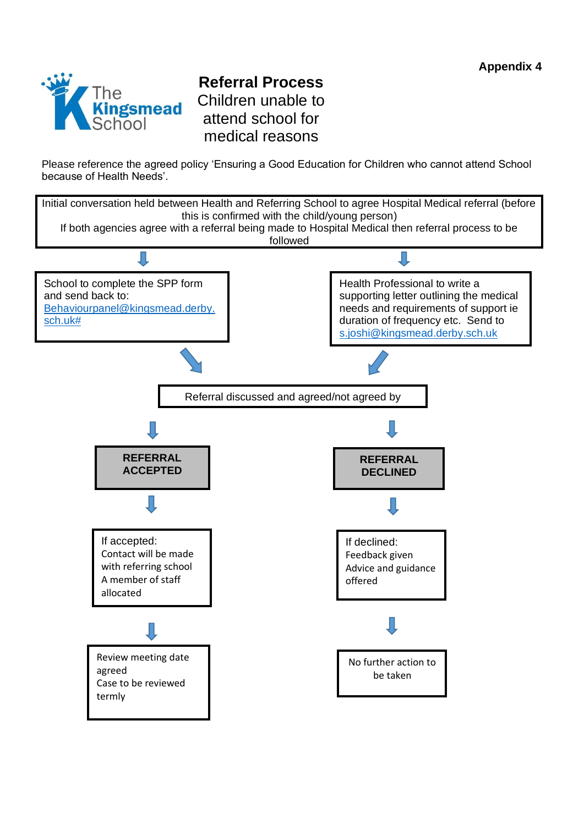

# **Referral Process** Children unable to attend school for medical reasons

Please reference the agreed policy 'Ensuring a Good Education for Children who cannot attend School because of Health Needs'.

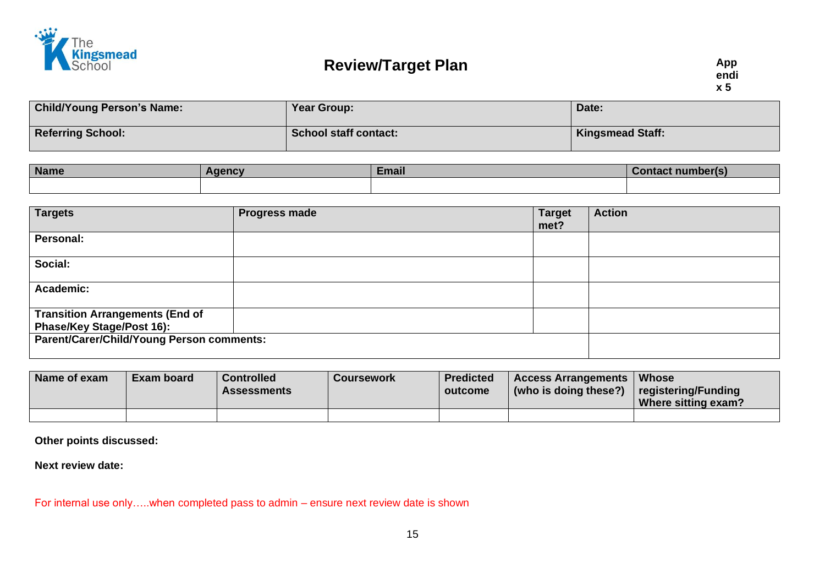

| <b>Child/Young Person's Name:</b> | Year Group:                  | Date:                   |
|-----------------------------------|------------------------------|-------------------------|
| <b>Referring School:</b>          | <b>School staff contact:</b> | <b>Kingsmead Staff:</b> |

| <b>Name</b> | aencv | <b>Email</b> | <b>Contact</b> |  |
|-------------|-------|--------------|----------------|--|
|             |       |              |                |  |

| <b>Targets</b>                                                      | <b>Progress made</b> | <b>Target</b><br>met? | <b>Action</b> |
|---------------------------------------------------------------------|----------------------|-----------------------|---------------|
| Personal:                                                           |                      |                       |               |
| Social:                                                             |                      |                       |               |
| Academic:                                                           |                      |                       |               |
| <b>Transition Arrangements (End of</b><br>Phase/Key Stage/Post 16): |                      |                       |               |
| <b>Parent/Carer/Child/Young Person comments:</b>                    |                      |                       |               |

| Name of exam | Exam board | <b>Controlled</b><br><b>Assessments</b> | Coursework | <b>Predicted</b><br>outcome | <b>Access Arrangements</b><br>$\mid$ (who is doing these?) | <b>Whose</b><br>registering/Funding<br>Where sitting exam? |
|--------------|------------|-----------------------------------------|------------|-----------------------------|------------------------------------------------------------|------------------------------------------------------------|
|              |            |                                         |            |                             |                                                            |                                                            |

**Other points discussed:**

**Next review date:**

For internal use only…..when completed pass to admin – ensure next review date is shown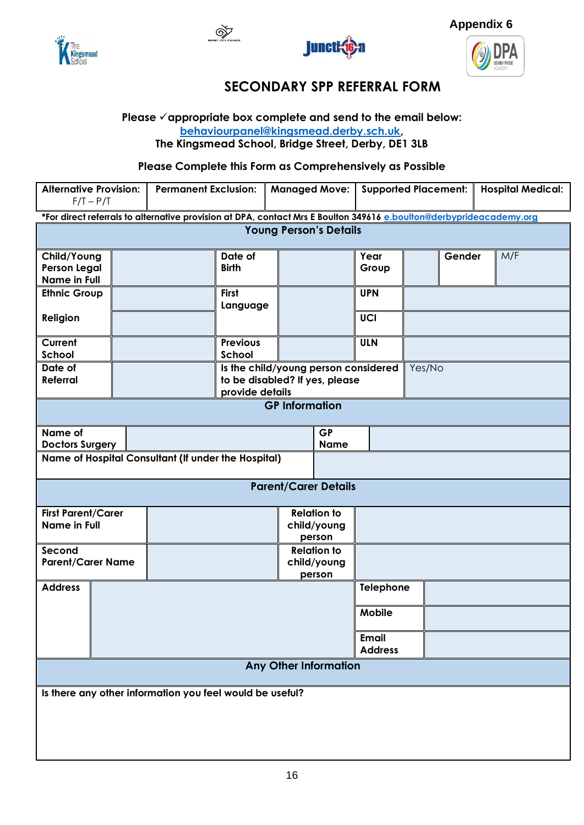









# **SECONDARY SPP REFERRAL FORM**

### **Please** ✓**appropriate box complete and send to the email below: [behaviourpanel@kingsmead.derby.sch.uk,](mailto:behaviourpanel@kingsmead.derby.sch.uk)**

**The Kingsmead School, Bridge Street, Derby, DE1 3LB**

**Please Complete this Form as Comprehensively as Possible**

| <b>Alternative Provision:</b><br>$F/T - P/T$ |                                                          | <b>Permanent Exclusion:</b>                                                                                         |                                                   |                               | <b>Managed Move:</b>  | <b>Supported Placement:</b>    |        | <b>Hospital Medical:</b> |  |     |
|----------------------------------------------|----------------------------------------------------------|---------------------------------------------------------------------------------------------------------------------|---------------------------------------------------|-------------------------------|-----------------------|--------------------------------|--------|--------------------------|--|-----|
|                                              |                                                          | *For direct referrals to alternative provision at DPA, contact Mrs E Boulton 349616 e.boulton@derbyprideacademy.org |                                                   |                               |                       |                                |        |                          |  |     |
|                                              |                                                          |                                                                                                                     |                                                   | <b>Young Person's Details</b> |                       |                                |        |                          |  |     |
| Child/Young                                  |                                                          |                                                                                                                     | Date of                                           |                               |                       | Year                           |        | Gender                   |  | M/F |
| <b>Person Legal</b>                          |                                                          |                                                                                                                     | <b>Birth</b>                                      |                               |                       | Group                          |        |                          |  |     |
| <b>Name in Full</b>                          |                                                          |                                                                                                                     |                                                   |                               |                       |                                |        |                          |  |     |
| <b>Ethnic Group</b>                          |                                                          |                                                                                                                     | <b>First</b><br>Language                          |                               |                       | <b>UPN</b>                     |        |                          |  |     |
| Religion                                     |                                                          |                                                                                                                     |                                                   |                               |                       | UCI                            |        |                          |  |     |
| Current<br>School                            |                                                          |                                                                                                                     | <b>Previous</b><br>School                         |                               |                       | <b>ULN</b>                     |        |                          |  |     |
| Date of                                      |                                                          |                                                                                                                     | Is the child/young person considered              |                               |                       |                                | Yes/No |                          |  |     |
| <b>Referral</b>                              |                                                          |                                                                                                                     | to be disabled? If yes, please<br>provide details |                               |                       |                                |        |                          |  |     |
|                                              |                                                          |                                                                                                                     |                                                   | <b>GP Information</b>         |                       |                                |        |                          |  |     |
|                                              |                                                          |                                                                                                                     |                                                   |                               |                       |                                |        |                          |  |     |
| Name of                                      |                                                          |                                                                                                                     |                                                   |                               | <b>GP</b>             |                                |        |                          |  |     |
| <b>Doctors Surgery</b>                       |                                                          |                                                                                                                     |                                                   |                               | <b>Name</b>           |                                |        |                          |  |     |
|                                              |                                                          | Name of Hospital Consultant (If under the Hospital)                                                                 |                                                   |                               |                       |                                |        |                          |  |     |
|                                              |                                                          |                                                                                                                     |                                                   | <b>Parent/Carer Details</b>   |                       |                                |        |                          |  |     |
| <b>First Parent/Carer</b>                    |                                                          |                                                                                                                     |                                                   |                               | <b>Relation to</b>    |                                |        |                          |  |     |
| <b>Name in Full</b>                          |                                                          |                                                                                                                     |                                                   |                               | child/young<br>person |                                |        |                          |  |     |
| Second                                       |                                                          |                                                                                                                     |                                                   |                               | <b>Relation to</b>    |                                |        |                          |  |     |
| <b>Parent/Carer Name</b>                     |                                                          |                                                                                                                     |                                                   |                               | child/young           |                                |        |                          |  |     |
| <b>Address</b>                               |                                                          |                                                                                                                     |                                                   |                               | person                | Telephone                      |        |                          |  |     |
|                                              |                                                          |                                                                                                                     |                                                   |                               |                       |                                |        |                          |  |     |
|                                              |                                                          |                                                                                                                     |                                                   |                               |                       | Mobile                         |        |                          |  |     |
|                                              |                                                          |                                                                                                                     |                                                   |                               |                       | <b>Email</b><br><b>Address</b> |        |                          |  |     |
| <b>Any Other Information</b>                 |                                                          |                                                                                                                     |                                                   |                               |                       |                                |        |                          |  |     |
|                                              | Is there any other information you feel would be useful? |                                                                                                                     |                                                   |                               |                       |                                |        |                          |  |     |
|                                              |                                                          |                                                                                                                     |                                                   |                               |                       |                                |        |                          |  |     |
|                                              |                                                          |                                                                                                                     |                                                   |                               |                       |                                |        |                          |  |     |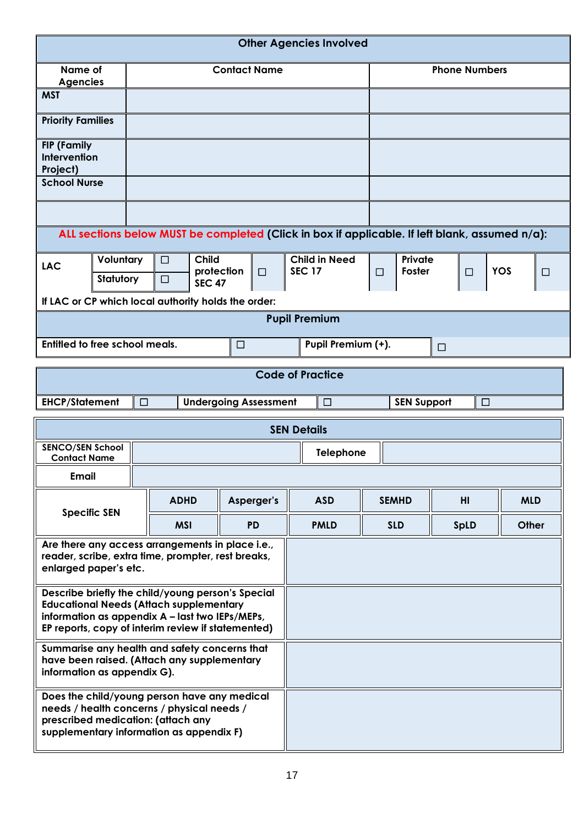|                                                                                                                                                                                                              | <b>Other Agencies Involved</b>                                                                 |                              |                         |                    |                      |            |  |
|--------------------------------------------------------------------------------------------------------------------------------------------------------------------------------------------------------------|------------------------------------------------------------------------------------------------|------------------------------|-------------------------|--------------------|----------------------|------------|--|
| Name of<br><b>Agencies</b>                                                                                                                                                                                   |                                                                                                | <b>Contact Name</b>          |                         |                    | <b>Phone Numbers</b> |            |  |
| <b>MST</b>                                                                                                                                                                                                   |                                                                                                |                              |                         |                    |                      |            |  |
| <b>Priority Families</b>                                                                                                                                                                                     |                                                                                                |                              |                         |                    |                      |            |  |
| <b>FIP (Family</b><br>Intervention<br>Project)                                                                                                                                                               |                                                                                                |                              |                         |                    |                      |            |  |
| <b>School Nurse</b>                                                                                                                                                                                          |                                                                                                |                              |                         |                    |                      |            |  |
|                                                                                                                                                                                                              |                                                                                                |                              |                         |                    |                      |            |  |
|                                                                                                                                                                                                              | ALL sections below MUST be completed (Click in box if applicable. If left blank, assumed n/a): |                              |                         |                    |                      |            |  |
| <b>Child</b><br><b>Child in Need</b><br>Private<br>Voluntary<br>$\Box$<br><b>LAC</b><br><b>SEC 17</b><br>Foster<br>protection<br><b>YOS</b><br>$\Box$<br>□<br>$\Box$<br>Statutory<br>$\Box$<br><b>SEC 47</b> |                                                                                                |                              |                         |                    | $\Box$               |            |  |
| If LAC or CP which local authority holds the order:<br><b>Pupil Premium</b>                                                                                                                                  |                                                                                                |                              |                         |                    |                      |            |  |
|                                                                                                                                                                                                              |                                                                                                |                              |                         |                    |                      |            |  |
| Entitled to free school meals.<br>Pupil Premium (+).<br>$\Box$<br>$\Box$                                                                                                                                     |                                                                                                |                              |                         |                    |                      |            |  |
|                                                                                                                                                                                                              |                                                                                                |                              | <b>Code of Practice</b> |                    |                      |            |  |
| <b>EHCP/Statement</b>                                                                                                                                                                                        | $\Box$                                                                                         | <b>Undergoing Assessment</b> | $\Box$                  | <b>SEN Support</b> | $\Box$               |            |  |
|                                                                                                                                                                                                              |                                                                                                |                              | <b>SEN Details</b>      |                    |                      |            |  |
| <b>SENCO/SEN School</b><br><b>Contact Name</b>                                                                                                                                                               |                                                                                                |                              | Telephone               |                    |                      |            |  |
| <b>Email</b>                                                                                                                                                                                                 |                                                                                                |                              |                         |                    |                      |            |  |
| <b>Specific SEN</b>                                                                                                                                                                                          | <b>ADHD</b>                                                                                    | Asperger's                   | <b>ASD</b>              | <b>SEMHD</b>       | H <sub>II</sub>      | <b>MLD</b> |  |
|                                                                                                                                                                                                              | <b>MSI</b>                                                                                     | <b>PD</b>                    | <b>PMLD</b>             | <b>SLD</b>         | <b>SpLD</b>          | Other      |  |
| Are there any access arrangements in place i.e.,<br>reader, scribe, extra time, prompter, rest breaks,<br>enlarged paper's etc.                                                                              |                                                                                                |                              |                         |                    |                      |            |  |
| Describe briefly the child/young person's Special<br><b>Educational Needs (Attach supplementary</b><br>information as appendix A - last two IEPs/MEPs,<br>EP reports, copy of interim review if statemented) |                                                                                                |                              |                         |                    |                      |            |  |
| Summarise any health and safety concerns that<br>have been raised. (Attach any supplementary<br>information as appendix G).                                                                                  |                                                                                                |                              |                         |                    |                      |            |  |
| Does the child/young person have any medical<br>needs / health concerns / physical needs /<br>prescribed medication: (attach any<br>supplementary information as appendix F)                                 |                                                                                                |                              |                         |                    |                      |            |  |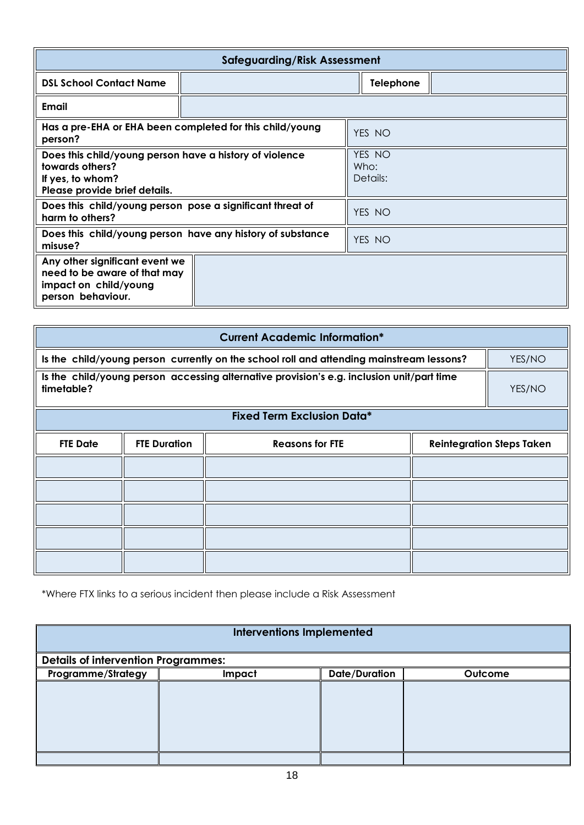|                                                                                                                                 | <b>Safeguarding/Risk Assessment</b> |                            |                  |  |  |  |
|---------------------------------------------------------------------------------------------------------------------------------|-------------------------------------|----------------------------|------------------|--|--|--|
| <b>DSL School Contact Name</b>                                                                                                  |                                     |                            | <b>Telephone</b> |  |  |  |
| Email                                                                                                                           |                                     |                            |                  |  |  |  |
| Has a pre-EHA or EHA been completed for this child/young<br>person?                                                             |                                     |                            | YES NO           |  |  |  |
| Does this child/young person have a history of violence<br>towards others?<br>If yes, to whom?<br>Please provide brief details. |                                     | YES NO<br>Who:<br>Details: |                  |  |  |  |
| Does this child/young person pose a significant threat of<br>harm to others?                                                    |                                     |                            | YES NO           |  |  |  |
| Does this child/young person have any history of substance<br>misuse?                                                           |                                     |                            | YES NO           |  |  |  |
| Any other significant event we<br>need to be aware of that may<br>impact on child/young<br>person behaviour.                    |                                     |                            |                  |  |  |  |

| <b>Current Academic Information*</b>                                                                    |                                                                                                    |                                   |                                  |  |  |  |
|---------------------------------------------------------------------------------------------------------|----------------------------------------------------------------------------------------------------|-----------------------------------|----------------------------------|--|--|--|
|                                                                                                         | Is the child/young person currently on the school roll and attending mainstream lessons?<br>YES/NO |                                   |                                  |  |  |  |
| Is the child/young person accessing alternative provision's e.g. inclusion unit/part time<br>timetable? | YES/NO                                                                                             |                                   |                                  |  |  |  |
|                                                                                                         |                                                                                                    | <b>Fixed Term Exclusion Data*</b> |                                  |  |  |  |
| <b>FTE Date</b>                                                                                         | <b>FTE Duration</b>                                                                                | <b>Reasons for FTE</b>            | <b>Reintegration Steps Taken</b> |  |  |  |
|                                                                                                         |                                                                                                    |                                   |                                  |  |  |  |
|                                                                                                         |                                                                                                    |                                   |                                  |  |  |  |
|                                                                                                         |                                                                                                    |                                   |                                  |  |  |  |
|                                                                                                         |                                                                                                    |                                   |                                  |  |  |  |
|                                                                                                         |                                                                                                    |                                   |                                  |  |  |  |

\*Where FTX links to a serious incident then please include a Risk Assessment

| <b>Interventions Implemented</b>           |        |                      |         |  |  |
|--------------------------------------------|--------|----------------------|---------|--|--|
| <b>Details of intervention Programmes:</b> |        |                      |         |  |  |
| <b>Programme/Strategy</b>                  | Impact | <b>Date/Duration</b> | Outcome |  |  |
|                                            |        |                      |         |  |  |
|                                            |        |                      |         |  |  |
|                                            |        |                      |         |  |  |
|                                            |        |                      |         |  |  |
|                                            |        |                      |         |  |  |
|                                            |        |                      |         |  |  |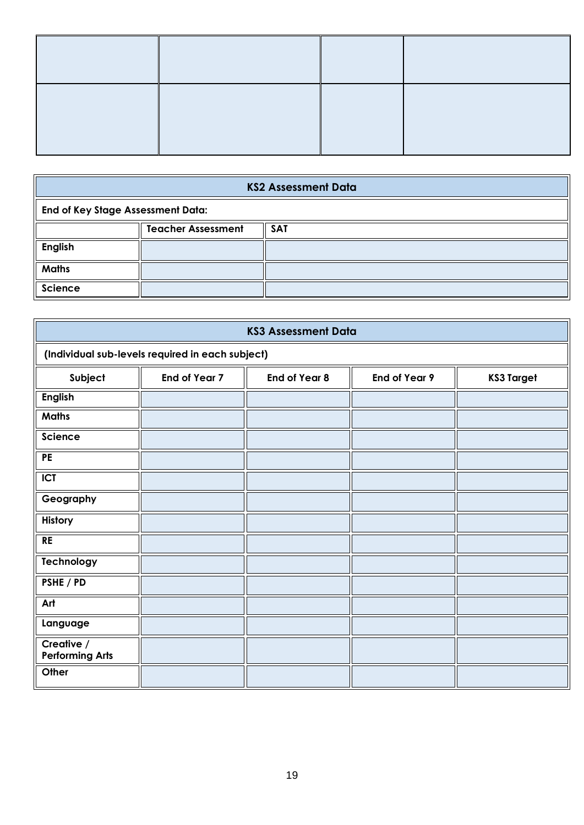| <b>KS2 Assessment Data</b>               |  |  |  |  |
|------------------------------------------|--|--|--|--|
| <b>End of Key Stage Assessment Data:</b> |  |  |  |  |
| <b>Teacher Assessment</b><br><b>SAT</b>  |  |  |  |  |
| <b>English</b>                           |  |  |  |  |
| <b>Maths</b>                             |  |  |  |  |
| Science                                  |  |  |  |  |

|                                      | <b>KS3 Assessment Data</b>                       |               |                      |                   |  |  |  |  |
|--------------------------------------|--------------------------------------------------|---------------|----------------------|-------------------|--|--|--|--|
|                                      | (Individual sub-levels required in each subject) |               |                      |                   |  |  |  |  |
| Subject                              | <b>End of Year 7</b>                             | End of Year 8 | <b>End of Year 9</b> | <b>KS3 Target</b> |  |  |  |  |
| English                              |                                                  |               |                      |                   |  |  |  |  |
| <b>Maths</b>                         |                                                  |               |                      |                   |  |  |  |  |
| Science                              |                                                  |               |                      |                   |  |  |  |  |
| <b>PE</b>                            |                                                  |               |                      |                   |  |  |  |  |
| <b>ICT</b>                           |                                                  |               |                      |                   |  |  |  |  |
| Geography                            |                                                  |               |                      |                   |  |  |  |  |
| History                              |                                                  |               |                      |                   |  |  |  |  |
| <b>RE</b>                            |                                                  |               |                      |                   |  |  |  |  |
| Technology                           |                                                  |               |                      |                   |  |  |  |  |
| PSHE / PD                            |                                                  |               |                      |                   |  |  |  |  |
| Art                                  |                                                  |               |                      |                   |  |  |  |  |
| Language                             |                                                  |               |                      |                   |  |  |  |  |
| Creative /<br><b>Performing Arts</b> |                                                  |               |                      |                   |  |  |  |  |
| Other                                |                                                  |               |                      |                   |  |  |  |  |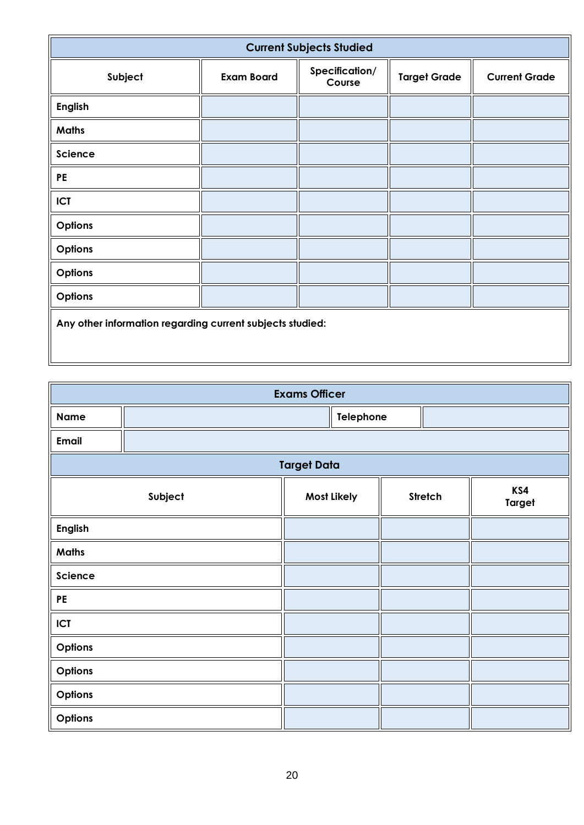| <b>Current Subjects Studied</b>                           |                   |                          |                     |                      |  |  |
|-----------------------------------------------------------|-------------------|--------------------------|---------------------|----------------------|--|--|
| Subject                                                   | <b>Exam Board</b> | Specification/<br>Course | <b>Target Grade</b> | <b>Current Grade</b> |  |  |
| <b>English</b>                                            |                   |                          |                     |                      |  |  |
| <b>Maths</b>                                              |                   |                          |                     |                      |  |  |
| Science                                                   |                   |                          |                     |                      |  |  |
| <b>PE</b>                                                 |                   |                          |                     |                      |  |  |
| <b>ICT</b>                                                |                   |                          |                     |                      |  |  |
| Options                                                   |                   |                          |                     |                      |  |  |
| Options                                                   |                   |                          |                     |                      |  |  |
| Options                                                   |                   |                          |                     |                      |  |  |
| Options                                                   |                   |                          |                     |                      |  |  |
| Any other information regarding current subjects studied: |                   |                          |                     |                      |  |  |

| <b>Exams Officer</b>                                             |  |                    |  |  |  |  |
|------------------------------------------------------------------|--|--------------------|--|--|--|--|
| <b>Name</b>                                                      |  | Telephone          |  |  |  |  |
| <b>Email</b>                                                     |  |                    |  |  |  |  |
|                                                                  |  | <b>Target Data</b> |  |  |  |  |
| KS4<br>Subject<br>Most Likely<br><b>Stretch</b><br><b>Target</b> |  |                    |  |  |  |  |
| English                                                          |  |                    |  |  |  |  |
| Maths                                                            |  |                    |  |  |  |  |
| Science                                                          |  |                    |  |  |  |  |
| PE                                                               |  |                    |  |  |  |  |
| ICT                                                              |  |                    |  |  |  |  |
| Options                                                          |  |                    |  |  |  |  |
| Options                                                          |  |                    |  |  |  |  |
| Options                                                          |  |                    |  |  |  |  |
| Options                                                          |  |                    |  |  |  |  |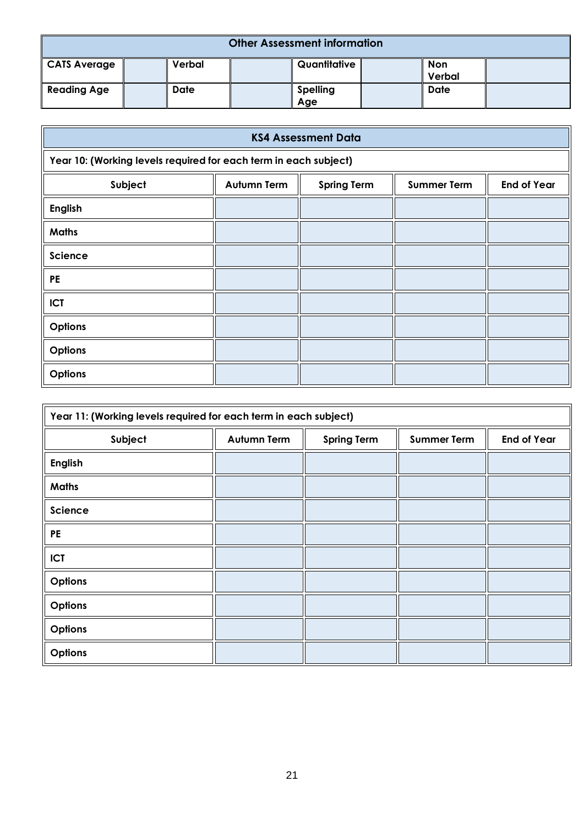| <b>Other Assessment information</b> |  |             |  |                        |  |                      |  |
|-------------------------------------|--|-------------|--|------------------------|--|----------------------|--|
| <b>CATS Average</b>                 |  | Verbal      |  | Quantitative           |  | <b>Non</b><br>Verbal |  |
| <b>Reading Age</b>                  |  | <b>Date</b> |  | <b>Spelling</b><br>Age |  | <b>Date</b>          |  |

| <b>KS4 Assessment Data</b>                                       |                    |                    |                    |                    |  |  |
|------------------------------------------------------------------|--------------------|--------------------|--------------------|--------------------|--|--|
| Year 10: (Working levels required for each term in each subject) |                    |                    |                    |                    |  |  |
| Subject                                                          | <b>Autumn Term</b> | <b>Spring Term</b> | <b>Summer Term</b> | <b>End of Year</b> |  |  |
| <b>English</b>                                                   |                    |                    |                    |                    |  |  |
| <b>Maths</b>                                                     |                    |                    |                    |                    |  |  |
| Science                                                          |                    |                    |                    |                    |  |  |
| <b>PE</b>                                                        |                    |                    |                    |                    |  |  |
| <b>ICT</b>                                                       |                    |                    |                    |                    |  |  |
| Options                                                          |                    |                    |                    |                    |  |  |
| Options                                                          |                    |                    |                    |                    |  |  |
| Options                                                          |                    |                    |                    |                    |  |  |

| Year 11: (Working levels required for each term in each subject) |                    |                    |                    |                    |  |  |  |
|------------------------------------------------------------------|--------------------|--------------------|--------------------|--------------------|--|--|--|
| Subject                                                          | <b>Autumn Term</b> | <b>Spring Term</b> | <b>Summer Term</b> | <b>End of Year</b> |  |  |  |
| <b>English</b>                                                   |                    |                    |                    |                    |  |  |  |
| <b>Maths</b>                                                     |                    |                    |                    |                    |  |  |  |
| Science                                                          |                    |                    |                    |                    |  |  |  |
| <b>PE</b>                                                        |                    |                    |                    |                    |  |  |  |
| <b>ICT</b>                                                       |                    |                    |                    |                    |  |  |  |
| Options                                                          |                    |                    |                    |                    |  |  |  |
| Options                                                          |                    |                    |                    |                    |  |  |  |
| Options                                                          |                    |                    |                    |                    |  |  |  |
| Options                                                          |                    |                    |                    |                    |  |  |  |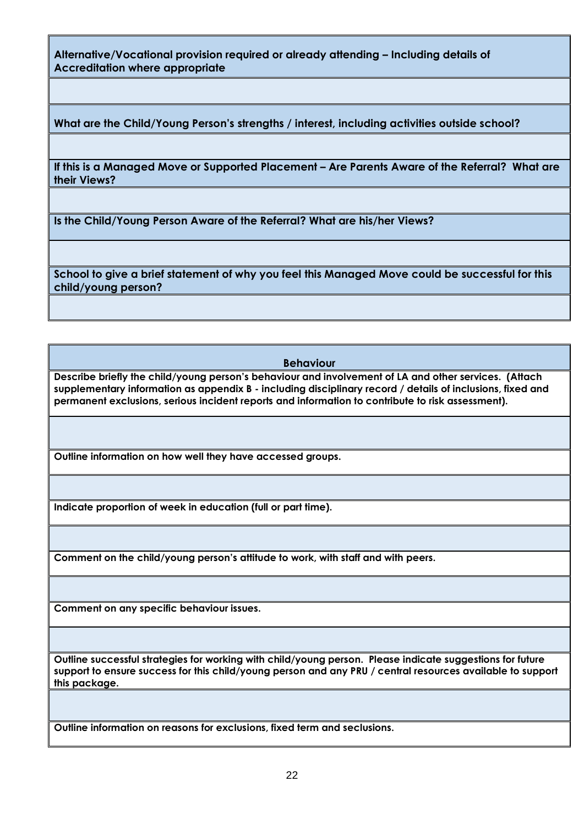**Alternative/Vocational provision required or already attending – Including details of Accreditation where appropriate**

**What are the Child/Young Person's strengths / interest, including activities outside school?**

**If this is a Managed Move or Supported Placement – Are Parents Aware of the Referral? What are their Views?**

**Is the Child/Young Person Aware of the Referral? What are his/her Views?**

**School to give a brief statement of why you feel this Managed Move could be successful for this child/young person?**

**Behaviour**

**Describe briefly the child/young person's behaviour and involvement of LA and other services. (Attach supplementary information as appendix B - including disciplinary record / details of inclusions, fixed and permanent exclusions, serious incident reports and information to contribute to risk assessment).** 

**Outline information on how well they have accessed groups.**

**Indicate proportion of week in education (full or part time).**

**Comment on the child/young person's attitude to work, with staff and with peers.**

**Comment on any specific behaviour issues.**

**Outline successful strategies for working with child/young person. Please indicate suggestions for future support to ensure success for this child/young person and any PRU / central resources available to support this package.**

**Outline information on reasons for exclusions, fixed term and seclusions.**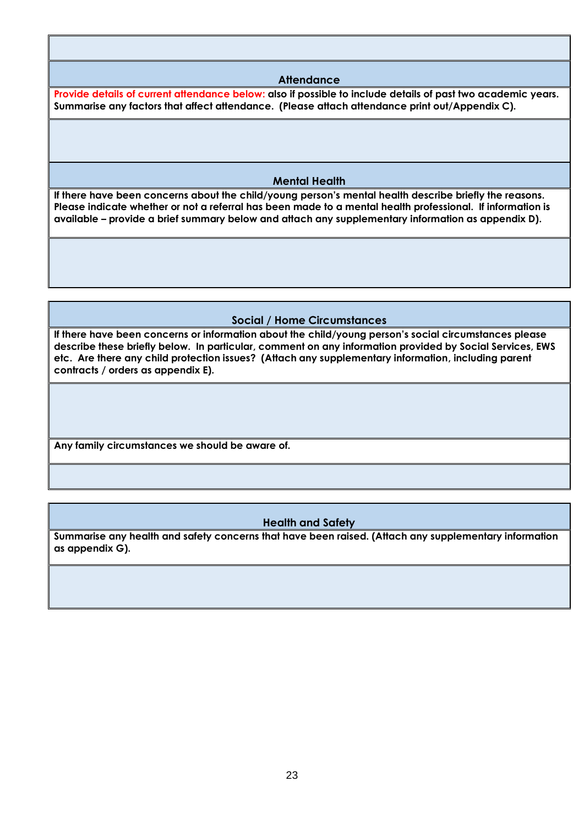#### **Attendance**

**Provide details of current attendance below: also if possible to include details of past two academic years. Summarise any factors that affect attendance. (Please attach attendance print out/Appendix C).**

#### **Mental Health**

**If there have been concerns about the child/young person's mental health describe briefly the reasons. Please indicate whether or not a referral has been made to a mental health professional. If information is available – provide a brief summary below and attach any supplementary information as appendix D).**

#### **Social / Home Circumstances**

**If there have been concerns or information about the child/young person's social circumstances please describe these briefly below. In particular, comment on any information provided by Social Services, EWS etc. Are there any child protection issues? (Attach any supplementary information, including parent contracts / orders as appendix E).**

**Any family circumstances we should be aware of.**

#### **Health and Safety**

**Summarise any health and safety concerns that have been raised. (Attach any supplementary information as appendix G).**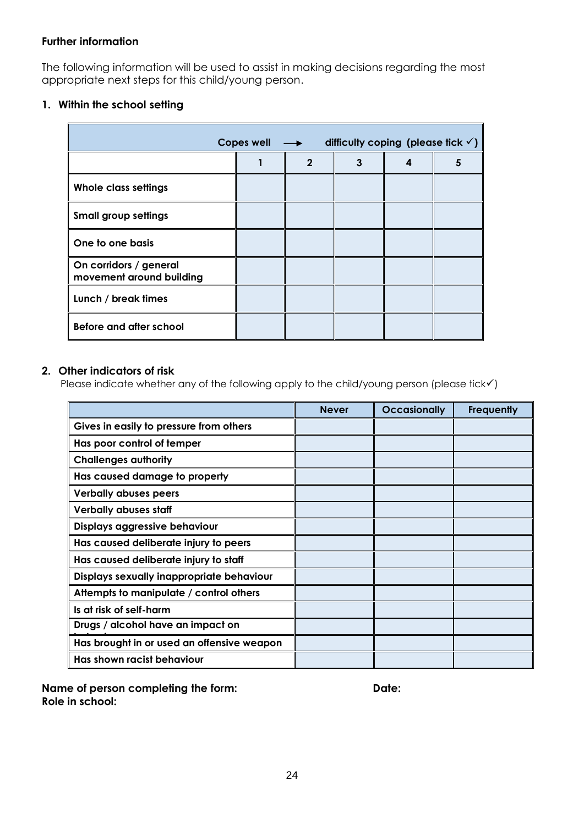#### **Further information**

The following information will be used to assist in making decisions regarding the most appropriate next steps for this child/young person.

### **1. Within the school setting**

| <b>Copes well</b><br>difficulty coping (please fick $\checkmark$ )<br>$\rightarrow$ |  |                |   |   |   |  |
|-------------------------------------------------------------------------------------|--|----------------|---|---|---|--|
|                                                                                     |  | $\overline{2}$ | 3 | 4 | 5 |  |
| Whole class settings                                                                |  |                |   |   |   |  |
| <b>Small group settings</b>                                                         |  |                |   |   |   |  |
| One to one basis                                                                    |  |                |   |   |   |  |
| On corridors / general<br>movement around building                                  |  |                |   |   |   |  |
| Lunch / break times                                                                 |  |                |   |   |   |  |
| Before and after school                                                             |  |                |   |   |   |  |

#### **2. Other indicators of risk**

Please indicate whether any of the following apply to the child/young person (please tick√)

|                                            | <b>Never</b> | <b>Occasionally</b> | <b>Frequently</b> |
|--------------------------------------------|--------------|---------------------|-------------------|
| Gives in easily to pressure from others    |              |                     |                   |
| Has poor control of temper                 |              |                     |                   |
| <b>Challenges authority</b>                |              |                     |                   |
| Has caused damage to property              |              |                     |                   |
| <b>Verbally abuses peers</b>               |              |                     |                   |
| <b>Verbally abuses staff</b>               |              |                     |                   |
| Displays aggressive behaviour              |              |                     |                   |
| Has caused deliberate injury to peers      |              |                     |                   |
| Has caused deliberate injury to staff      |              |                     |                   |
| Displays sexually inappropriate behaviour  |              |                     |                   |
| Attempts to manipulate / control others    |              |                     |                   |
| Is at risk of self-harm                    |              |                     |                   |
| Drugs / alcohol have an impact on          |              |                     |                   |
| Has brought in or used an offensive weapon |              |                     |                   |
| Has shown racist behaviour                 |              |                     |                   |

**Name of person completing the form: Date:** Date: **Role in school:**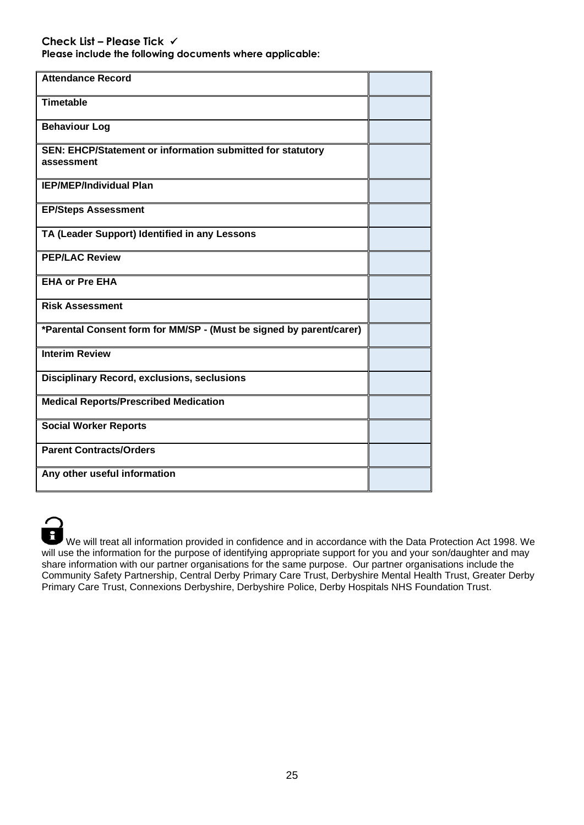**Please include the following documents where applicable:**

| <b>Attendance Record</b>                                                 |  |
|--------------------------------------------------------------------------|--|
| <b>Timetable</b>                                                         |  |
| <b>Behaviour Log</b>                                                     |  |
| SEN: EHCP/Statement or information submitted for statutory<br>assessment |  |
| <b>IEP/MEP/Individual Plan</b>                                           |  |
| <b>EP/Steps Assessment</b>                                               |  |
| TA (Leader Support) Identified in any Lessons                            |  |
| <b>PEP/LAC Review</b>                                                    |  |
| <b>EHA or Pre EHA</b>                                                    |  |
| <b>Risk Assessment</b>                                                   |  |
| *Parental Consent form for MM/SP - (Must be signed by parent/carer)      |  |
| <b>Interim Review</b>                                                    |  |
| <b>Disciplinary Record, exclusions, seclusions</b>                       |  |
| <b>Medical Reports/Prescribed Medication</b>                             |  |
| <b>Social Worker Reports</b>                                             |  |
| <b>Parent Contracts/Orders</b>                                           |  |
| Any other useful information                                             |  |

We will treat all information provided in confidence and in accordance with the Data Protection Act 1998. We will use the information for the purpose of identifying appropriate support for you and your son/daughter and may share information with our partner organisations for the same purpose. Our partner organisations include the Community Safety Partnership, Central Derby Primary Care Trust, Derbyshire Mental Health Trust, Greater Derby Primary Care Trust, Connexions Derbyshire, Derbyshire Police, Derby Hospitals NHS Foundation Trust.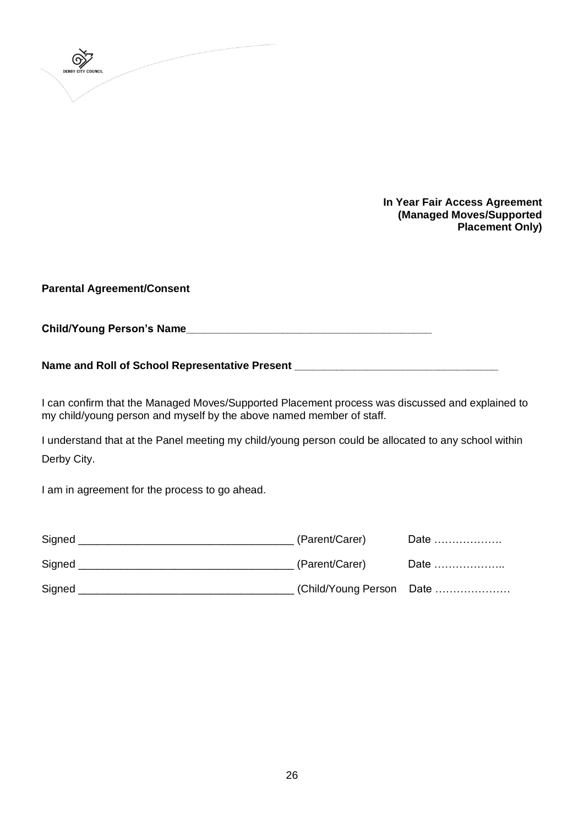

**In Year Fair Access Agreement (Managed Moves/Supported Placement Only)**

**Parental Agreement/Consent**

**Child/Young Person's Name\_\_\_\_\_\_\_\_\_\_\_\_\_\_\_\_\_\_\_\_\_\_\_\_\_\_\_\_\_\_\_\_\_\_\_\_\_\_\_\_\_**

**Name and Roll of School Representative Present \_\_\_\_\_\_\_\_\_\_\_\_\_\_\_\_\_\_\_\_\_\_\_\_\_\_\_\_\_\_\_\_\_\_**

I can confirm that the Managed Moves/Supported Placement process was discussed and explained to my child/young person and myself by the above named member of staff.

I understand that at the Panel meeting my child/young person could be allocated to any school within Derby City.

I am in agreement for the process to go ahead.

| Signed | (Parent/Carer)           | Date |
|--------|--------------------------|------|
| Signed | (Parent/Carer)           | Date |
| Signed | (Child/Young Person Date |      |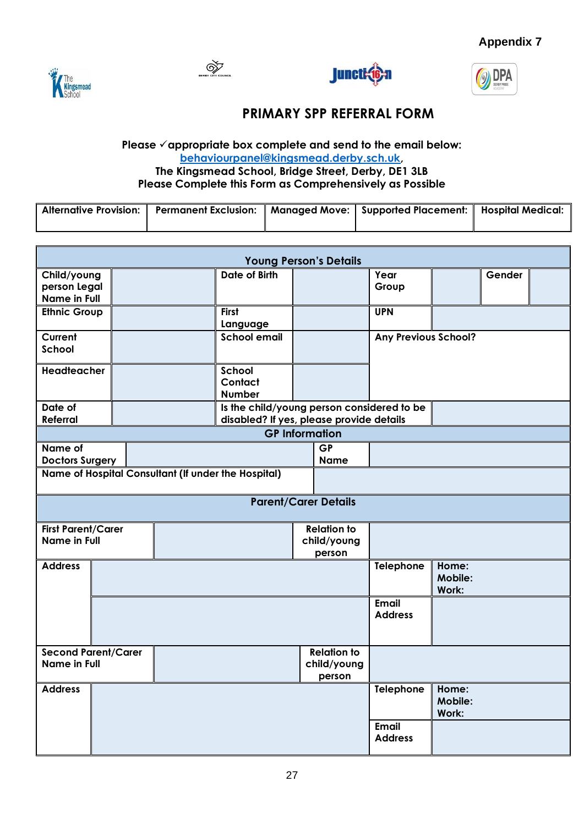

 $\bigotimes$ 





# **PRIMARY SPP REFERRAL FORM**

#### **Please** ✓**appropriate box complete and send to the email below: [behaviourpanel@kingsmead.derby.sch.uk,](mailto:behaviourpanel@kingsmead.derby.sch.uk) The Kingsmead School, Bridge Street, Derby, DE1 3LB Please Complete this Form as Comprehensively as Possible**

| Alternative Provision: 1 | <b>Permanent Exclusion:</b> | Managed Move:    Supported Placement:    Hospital Medical: |  |
|--------------------------|-----------------------------|------------------------------------------------------------|--|
|                          |                             |                                                            |  |

| <b>Young Person's Details</b>                     |                                                     |  |                                                                                        |  |                                             |                                |                           |        |  |
|---------------------------------------------------|-----------------------------------------------------|--|----------------------------------------------------------------------------------------|--|---------------------------------------------|--------------------------------|---------------------------|--------|--|
| Child/young<br>person Legal<br>Name in Full       |                                                     |  | Date of Birth                                                                          |  |                                             | Year<br>Group                  |                           | Gender |  |
| <b>Ethnic Group</b>                               |                                                     |  | <b>First</b><br>Language                                                               |  |                                             | <b>UPN</b>                     |                           |        |  |
| Current<br>School                                 |                                                     |  | <b>School email</b>                                                                    |  |                                             | <b>Any Previous School?</b>    |                           |        |  |
| <b>Headteacher</b>                                |                                                     |  | School<br>Contact<br><b>Number</b>                                                     |  |                                             |                                |                           |        |  |
| Date of<br><b>Referral</b>                        |                                                     |  | Is the child/young person considered to be<br>disabled? If yes, please provide details |  |                                             |                                |                           |        |  |
|                                                   |                                                     |  |                                                                                        |  | <b>GP Information</b>                       |                                |                           |        |  |
| Name of<br><b>Doctors Surgery</b>                 |                                                     |  |                                                                                        |  | <b>GP</b><br><b>Name</b>                    |                                |                           |        |  |
|                                                   | Name of Hospital Consultant (If under the Hospital) |  |                                                                                        |  |                                             |                                |                           |        |  |
|                                                   |                                                     |  |                                                                                        |  | <b>Parent/Carer Details</b>                 |                                |                           |        |  |
| <b>First Parent/Carer</b><br><b>Name in Full</b>  |                                                     |  |                                                                                        |  | <b>Relation to</b><br>child/young<br>person |                                |                           |        |  |
| <b>Address</b>                                    |                                                     |  |                                                                                        |  |                                             | Telephone                      | Home:<br>Mobile:<br>Work: |        |  |
|                                                   |                                                     |  |                                                                                        |  |                                             | <b>Email</b><br><b>Address</b> |                           |        |  |
| <b>Second Parent/Carer</b><br><b>Name in Full</b> |                                                     |  |                                                                                        |  | <b>Relation to</b><br>child/young<br>person |                                |                           |        |  |
| <b>Address</b>                                    |                                                     |  |                                                                                        |  |                                             | Telephone                      | Home:<br>Mobile:<br>Work: |        |  |
|                                                   |                                                     |  |                                                                                        |  |                                             | <b>Email</b><br><b>Address</b> |                           |        |  |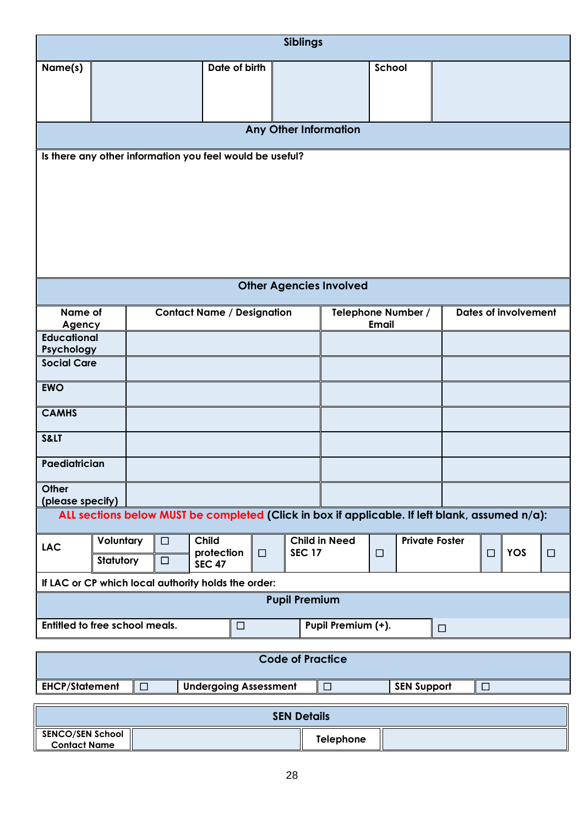|                                                                          | <b>Siblings</b>  |                                                                                                |                         |                                |                                    |                             |   |
|--------------------------------------------------------------------------|------------------|------------------------------------------------------------------------------------------------|-------------------------|--------------------------------|------------------------------------|-----------------------------|---|
| Name(s)                                                                  |                  | Date of birth                                                                                  |                         |                                | School                             |                             |   |
|                                                                          |                  |                                                                                                |                         | <b>Any Other Information</b>   |                                    |                             |   |
| Is there any other information you feel would be useful?                 |                  |                                                                                                |                         |                                |                                    |                             |   |
|                                                                          |                  |                                                                                                |                         | <b>Other Agencies Involved</b> |                                    |                             |   |
| Name of<br>Agency<br><b>Educational</b>                                  |                  | <b>Contact Name / Designation</b>                                                              |                         |                                | Telephone Number /<br><b>Email</b> | <b>Dates of involvement</b> |   |
| Psychology<br><b>Social Care</b>                                         |                  |                                                                                                |                         |                                |                                    |                             |   |
| <b>EWO</b>                                                               |                  |                                                                                                |                         |                                |                                    |                             |   |
| <b>CAMHS</b>                                                             |                  |                                                                                                |                         |                                |                                    |                             |   |
| S<                                                                       |                  |                                                                                                |                         |                                |                                    |                             |   |
| Paediatrician                                                            |                  |                                                                                                |                         |                                |                                    |                             |   |
| Other<br>(please specify)                                                |                  |                                                                                                |                         |                                |                                    |                             |   |
|                                                                          |                  | ALL sections below MUST be completed (Click in box if applicable. If left blank, assumed n/a): |                         |                                |                                    |                             |   |
| Voluntary<br><b>LAC</b><br>Statutory                                     | $\Box$<br>$\Box$ | <b>Child</b><br>protection<br>$\Box$<br><b>SEC 47</b>                                          | <b>SEC 17</b>           | <b>Child in Need</b>           | <b>Private Foster</b><br>$\Box$    | <b>YOS</b><br>$\Box$        | □ |
| If LAC or CP which local authority holds the order:                      |                  |                                                                                                |                         |                                |                                    |                             |   |
| <b>Pupil Premium</b>                                                     |                  |                                                                                                |                         |                                |                                    |                             |   |
| Entitled to free school meals.<br>Pupil Premium (+).<br>$\Box$<br>$\Box$ |                  |                                                                                                |                         |                                |                                    |                             |   |
|                                                                          |                  |                                                                                                | <b>Code of Practice</b> |                                |                                    |                             |   |
| <b>EHCP/Statement</b>                                                    | $\Box$           | <b>Undergoing Assessment</b>                                                                   |                         | $\Box$                         | <b>SEN Support</b>                 | $\Box$                      |   |

| <b>SEN Details</b>                             |  |           |  |  |
|------------------------------------------------|--|-----------|--|--|
| <b>SENCO/SEN School</b><br><b>Contact Name</b> |  | Telephone |  |  |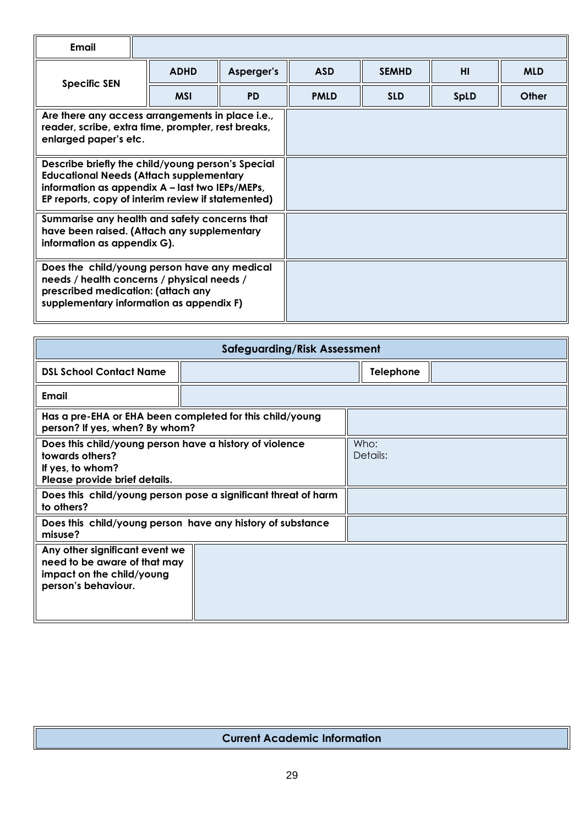| Email                                                                                                                                                                                                        |             |            |             |              |      |            |
|--------------------------------------------------------------------------------------------------------------------------------------------------------------------------------------------------------------|-------------|------------|-------------|--------------|------|------------|
| <b>Specific SEN</b>                                                                                                                                                                                          | <b>ADHD</b> | Asperger's | <b>ASD</b>  | <b>SEMHD</b> | HI   | <b>MLD</b> |
|                                                                                                                                                                                                              | <b>MSI</b>  | <b>PD</b>  | <b>PMLD</b> | <b>SLD</b>   | SpLD | Other      |
| Are there any access arrangements in place i.e.,<br>reader, scribe, extra time, prompter, rest breaks,<br>enlarged paper's etc.                                                                              |             |            |             |              |      |            |
| Describe briefly the child/young person's Special<br><b>Educational Needs (Attach supplementary</b><br>information as appendix A – last two IEPs/MEPs,<br>EP reports, copy of interim review if statemented) |             |            |             |              |      |            |
| Summarise any health and safety concerns that<br>have been raised. (Attach any supplementary<br>information as appendix G).                                                                                  |             |            |             |              |      |            |
| Does the child/young person have any medical<br>needs / health concerns / physical needs /<br>prescribed medication: (attach any<br>supplementary information as appendix F)                                 |             |            |             |              |      |            |

| <b>Safeguarding/Risk Assessment</b>                                                                                             |                                                          |  |                  |  |
|---------------------------------------------------------------------------------------------------------------------------------|----------------------------------------------------------|--|------------------|--|
| <b>DSL School Contact Name</b>                                                                                                  |                                                          |  | <b>Telephone</b> |  |
| Email                                                                                                                           |                                                          |  |                  |  |
| person? If yes, when? By whom?                                                                                                  | Has a pre-EHA or EHA been completed for this child/young |  |                  |  |
| Does this child/young person have a history of violence<br>towards others?<br>If yes, to whom?<br>Please provide brief details. |                                                          |  | Who:<br>Details: |  |
| Does this child/young person pose a significant threat of harm<br>to others?                                                    |                                                          |  |                  |  |
| Does this child/young person have any history of substance<br>misuse?                                                           |                                                          |  |                  |  |
| Any other significant event we<br>need to be aware of that may<br>impact on the child/young<br>person's behaviour.              |                                                          |  |                  |  |

### **Current Academic Information**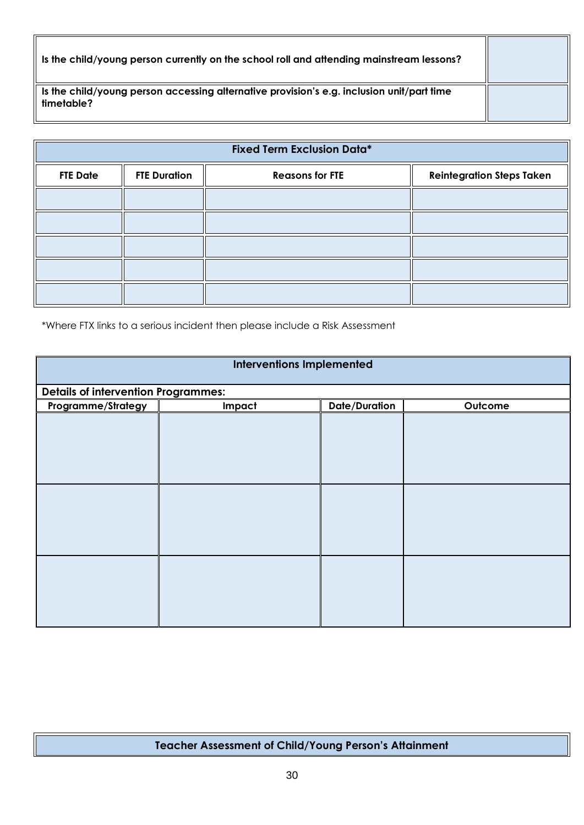| Is the child/young person currently on the school roll and attending mainstream lessons?                |  |
|---------------------------------------------------------------------------------------------------------|--|
| Is the child/young person accessing alternative provision's e.g. inclusion unit/part time<br>timetable? |  |

| <b>Fixed Term Exclusion Data*</b> |                     |                        |                                  |  |
|-----------------------------------|---------------------|------------------------|----------------------------------|--|
| <b>FTE Date</b>                   | <b>FTE Duration</b> | <b>Reasons for FTE</b> | <b>Reintegration Steps Taken</b> |  |
|                                   |                     |                        |                                  |  |
|                                   |                     |                        |                                  |  |
|                                   |                     |                        |                                  |  |
|                                   |                     |                        |                                  |  |
|                                   |                     |                        |                                  |  |

\*Where FTX links to a serious incident then please include a Risk Assessment

| <b>Interventions Implemented</b> |                                            |                      |         |  |  |
|----------------------------------|--------------------------------------------|----------------------|---------|--|--|
|                                  | <b>Details of intervention Programmes:</b> |                      |         |  |  |
| Impact                           | Programme/Strategy                         | <b>Date/Duration</b> | Outcome |  |  |
|                                  |                                            |                      |         |  |  |
|                                  |                                            |                      |         |  |  |
|                                  |                                            |                      |         |  |  |
|                                  |                                            |                      |         |  |  |
|                                  |                                            |                      |         |  |  |
|                                  |                                            |                      |         |  |  |
|                                  |                                            |                      |         |  |  |
|                                  |                                            |                      |         |  |  |
|                                  |                                            |                      |         |  |  |
|                                  |                                            |                      |         |  |  |
|                                  |                                            |                      |         |  |  |
|                                  |                                            |                      |         |  |  |
|                                  |                                            |                      |         |  |  |
|                                  |                                            |                      |         |  |  |
|                                  |                                            |                      |         |  |  |

## **Teacher Assessment of Child/Young Person's Attainment**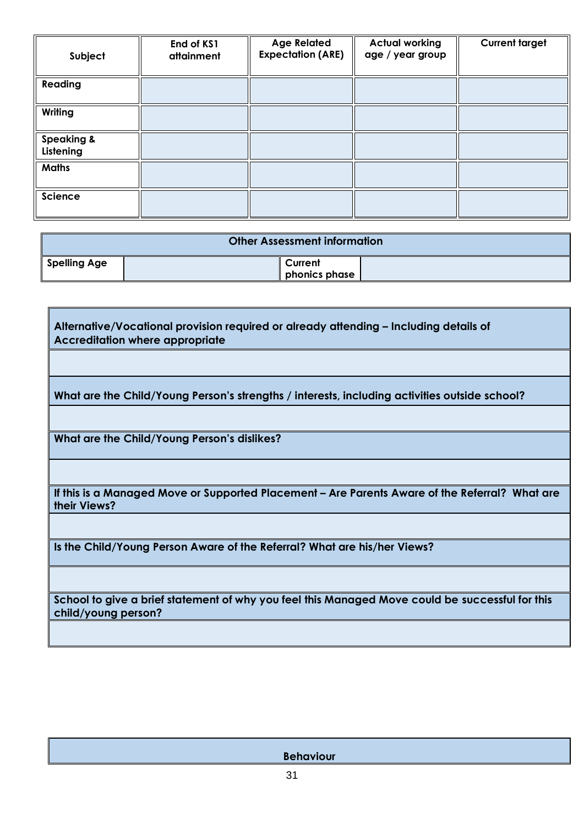| Subject                            | End of KS1<br>attainment | <b>Age Related</b><br><b>Expectation (ARE)</b> | <b>Actual working</b><br>age / year group | <b>Current target</b> |
|------------------------------------|--------------------------|------------------------------------------------|-------------------------------------------|-----------------------|
| Reading                            |                          |                                                |                                           |                       |
| Writing                            |                          |                                                |                                           |                       |
| <b>Speaking &amp;</b><br>Listening |                          |                                                |                                           |                       |
| <b>Maths</b>                       |                          |                                                |                                           |                       |
| Science                            |                          |                                                |                                           |                       |

| <b>Other Assessment information</b> |         |               |
|-------------------------------------|---------|---------------|
| <b>Spelling Age</b>                 | Current | phonics phase |

٦

| Alternative/Vocational provision required or already attending – Including details of<br><b>Accreditation where appropriate</b> |
|---------------------------------------------------------------------------------------------------------------------------------|
|                                                                                                                                 |
| What are the Child/Young Person's strengths / interests, including activities outside school?                                   |
|                                                                                                                                 |
| What are the Child/Young Person's dislikes?                                                                                     |
|                                                                                                                                 |
| If this is a Managed Move or Supported Placement – Are Parents Aware of the Referral? What are<br>their Views?                  |
|                                                                                                                                 |
| Is the Child/Young Person Aware of the Referral? What are his/her Views?                                                        |
|                                                                                                                                 |
| School to give a brief statement of why you feel this Managed Move could be successful for this<br>child/young person?          |
|                                                                                                                                 |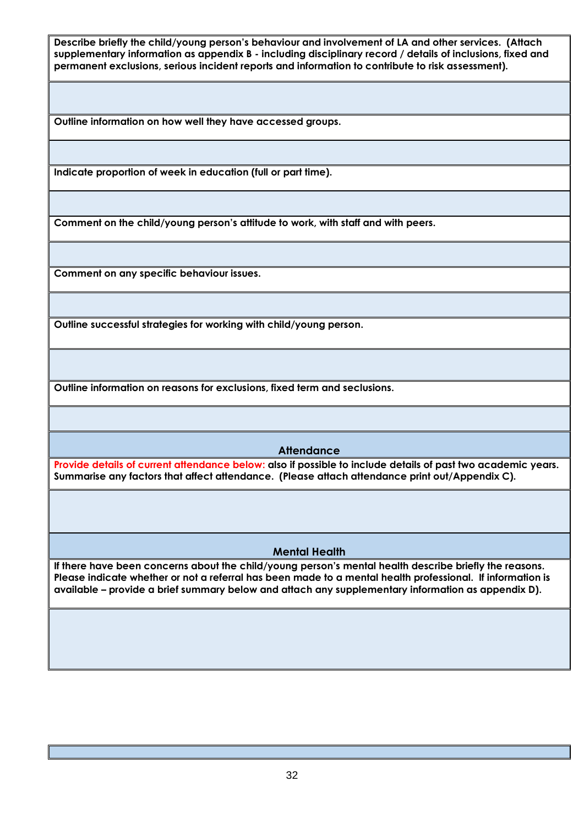**Describe briefly the child/young person's behaviour and involvement of LA and other services. (Attach supplementary information as appendix B - including disciplinary record / details of inclusions, fixed and permanent exclusions, serious incident reports and information to contribute to risk assessment).** 

**Outline information on how well they have accessed groups.**

**Indicate proportion of week in education (full or part time).**

**Comment on the child/young person's attitude to work, with staff and with peers.**

**Comment on any specific behaviour issues.**

**Outline successful strategies for working with child/young person.** 

**Outline information on reasons for exclusions, fixed term and seclusions.**

#### **Attendance**

**Provide details of current attendance below: also if possible to include details of past two academic years. Summarise any factors that affect attendance. (Please attach attendance print out/Appendix C).**

#### **Mental Health**

**If there have been concerns about the child/young person's mental health describe briefly the reasons. Please indicate whether or not a referral has been made to a mental health professional. If information is available – provide a brief summary below and attach any supplementary information as appendix D).**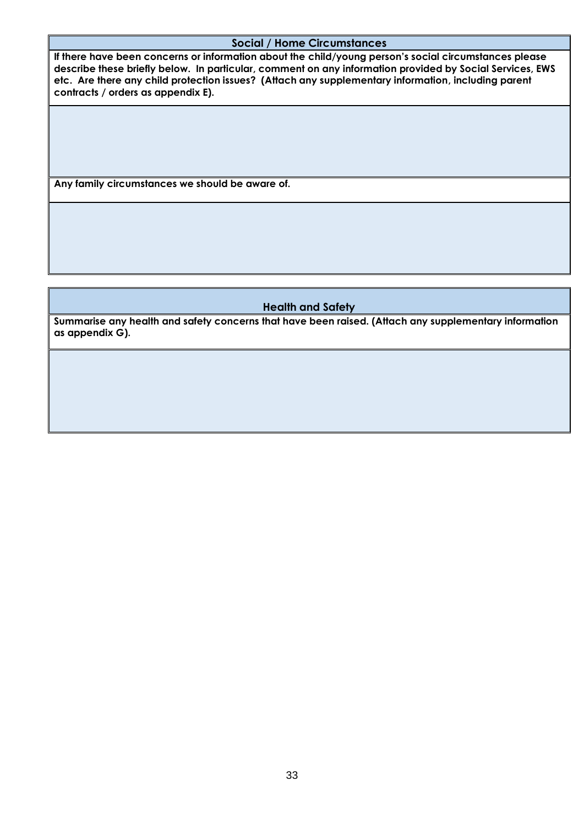#### **Social / Home Circumstances**

**If there have been concerns or information about the child/young person's social circumstances please describe these briefly below. In particular, comment on any information provided by Social Services, EWS etc. Are there any child protection issues? (Attach any supplementary information, including parent contracts / orders as appendix E).**

**Any family circumstances we should be aware of.**

#### **Health and Safety**

**Summarise any health and safety concerns that have been raised. (Attach any supplementary information as appendix G).**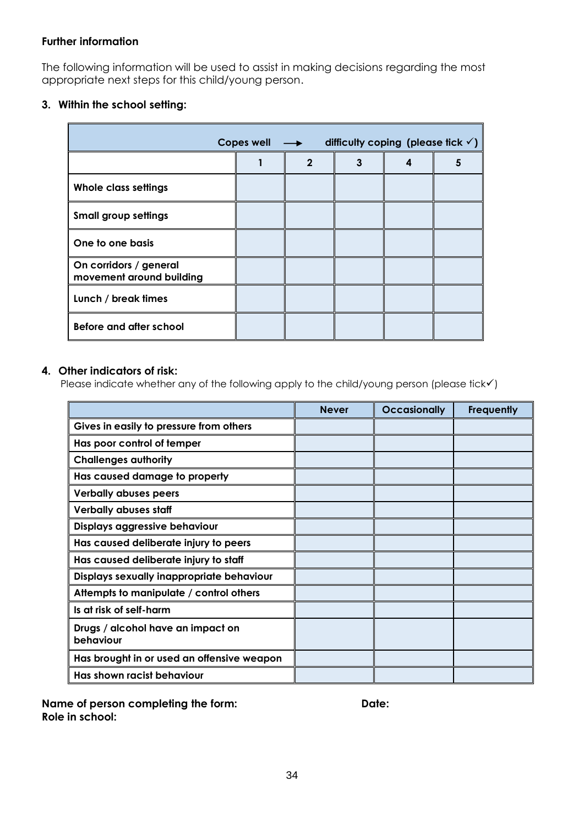#### **Further information**

The following information will be used to assist in making decisions regarding the most appropriate next steps for this child/young person.

### **3. Within the school setting:**

| <b>Copes well</b><br>difficulty coping (please fick $\checkmark$ )<br>$\rightarrow$ |  |              |   |   |   |
|-------------------------------------------------------------------------------------|--|--------------|---|---|---|
|                                                                                     |  | $\mathbf{2}$ | 3 | 4 | 5 |
| Whole class settings                                                                |  |              |   |   |   |
| <b>Small group settings</b>                                                         |  |              |   |   |   |
| One to one basis                                                                    |  |              |   |   |   |
| On corridors / general<br>movement around building                                  |  |              |   |   |   |
| Lunch / break times                                                                 |  |              |   |   |   |
| Before and after school                                                             |  |              |   |   |   |

#### **4. Other indicators of risk:**

Please indicate whether any of the following apply to the child/young person (please tick√)

|                                                | <b>Never</b> | <b>Occasionally</b> | <b>Frequently</b> |
|------------------------------------------------|--------------|---------------------|-------------------|
| Gives in easily to pressure from others        |              |                     |                   |
| Has poor control of temper                     |              |                     |                   |
| <b>Challenges authority</b>                    |              |                     |                   |
| Has caused damage to property                  |              |                     |                   |
| <b>Verbally abuses peers</b>                   |              |                     |                   |
| <b>Verbally abuses staff</b>                   |              |                     |                   |
| Displays aggressive behaviour                  |              |                     |                   |
| Has caused deliberate injury to peers          |              |                     |                   |
| Has caused deliberate injury to staff          |              |                     |                   |
| Displays sexually inappropriate behaviour      |              |                     |                   |
| Attempts to manipulate / control others        |              |                     |                   |
| Is at risk of self-harm                        |              |                     |                   |
| Drugs / alcohol have an impact on<br>behaviour |              |                     |                   |
| Has brought in or used an offensive weapon     |              |                     |                   |
| Has shown racist behaviour                     |              |                     |                   |

Name of person completing the form: **Date:** Date: **Role in school:**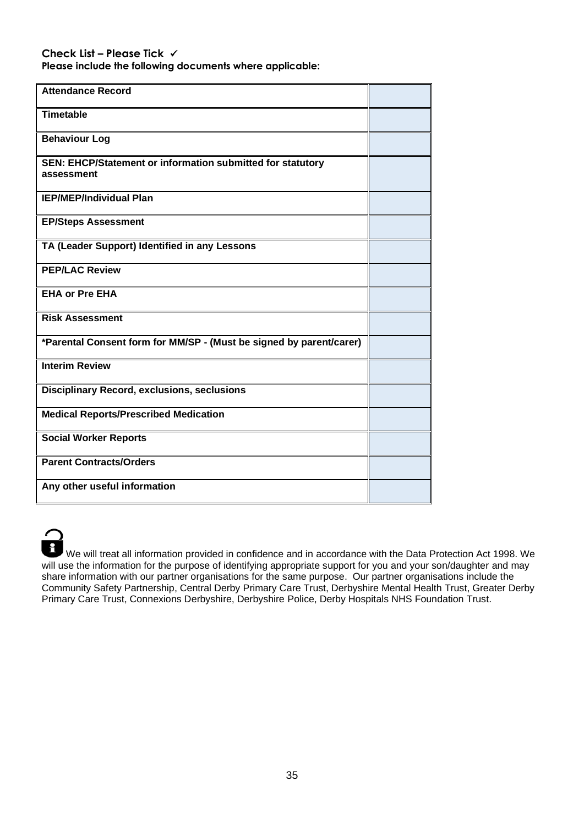#### **Check List – Please Tick** ✓

**Please include the following documents where applicable:**

| <b>Attendance Record</b>                                                 |  |
|--------------------------------------------------------------------------|--|
| <b>Timetable</b>                                                         |  |
| <b>Behaviour Log</b>                                                     |  |
| SEN: EHCP/Statement or information submitted for statutory<br>assessment |  |
| <b>IEP/MEP/Individual Plan</b>                                           |  |
| <b>EP/Steps Assessment</b>                                               |  |
| TA (Leader Support) Identified in any Lessons                            |  |
| <b>PEP/LAC Review</b>                                                    |  |
| <b>EHA or Pre EHA</b>                                                    |  |
| <b>Risk Assessment</b>                                                   |  |
| *Parental Consent form for MM/SP - (Must be signed by parent/carer)      |  |
| <b>Interim Review</b>                                                    |  |
| <b>Disciplinary Record, exclusions, seclusions</b>                       |  |
| <b>Medical Reports/Prescribed Medication</b>                             |  |
| <b>Social Worker Reports</b>                                             |  |
| <b>Parent Contracts/Orders</b>                                           |  |
| Any other useful information                                             |  |



We will treat all information provided in confidence and in accordance with the Data Protection Act 1998. We will use the information for the purpose of identifying appropriate support for you and your son/daughter and may share information with our partner organisations for the same purpose. Our partner organisations include the Community Safety Partnership, Central Derby Primary Care Trust, Derbyshire Mental Health Trust, Greater Derby Primary Care Trust, Connexions Derbyshire, Derbyshire Police, Derby Hospitals NHS Foundation Trust.